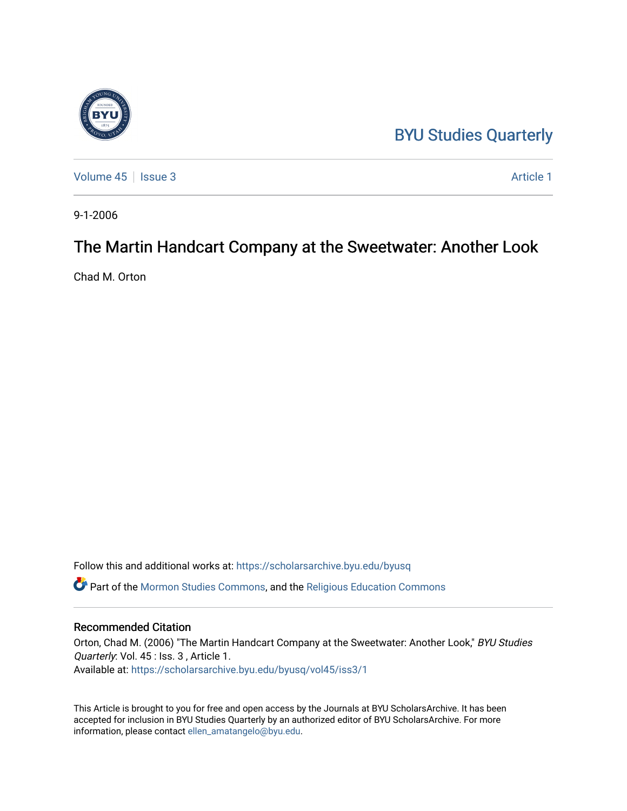# [BYU Studies Quarterly](https://scholarsarchive.byu.edu/byusq)

[Volume 45](https://scholarsarchive.byu.edu/byusq/vol45) | [Issue 3](https://scholarsarchive.byu.edu/byusq/vol45/iss3) Article 1

9-1-2006

# The Martin Handcart Company at the Sweetwater: Another Look

Chad M. Orton

Follow this and additional works at: [https://scholarsarchive.byu.edu/byusq](https://scholarsarchive.byu.edu/byusq?utm_source=scholarsarchive.byu.edu%2Fbyusq%2Fvol45%2Fiss3%2F1&utm_medium=PDF&utm_campaign=PDFCoverPages)  Part of the [Mormon Studies Commons](http://network.bepress.com/hgg/discipline/1360?utm_source=scholarsarchive.byu.edu%2Fbyusq%2Fvol45%2Fiss3%2F1&utm_medium=PDF&utm_campaign=PDFCoverPages), and the [Religious Education Commons](http://network.bepress.com/hgg/discipline/1414?utm_source=scholarsarchive.byu.edu%2Fbyusq%2Fvol45%2Fiss3%2F1&utm_medium=PDF&utm_campaign=PDFCoverPages) 

## Recommended Citation

Orton, Chad M. (2006) "The Martin Handcart Company at the Sweetwater: Another Look," BYU Studies Quarterly: Vol. 45 : Iss. 3 , Article 1. Available at: [https://scholarsarchive.byu.edu/byusq/vol45/iss3/1](https://scholarsarchive.byu.edu/byusq/vol45/iss3/1?utm_source=scholarsarchive.byu.edu%2Fbyusq%2Fvol45%2Fiss3%2F1&utm_medium=PDF&utm_campaign=PDFCoverPages)

This Article is brought to you for free and open access by the Journals at BYU ScholarsArchive. It has been accepted for inclusion in BYU Studies Quarterly by an authorized editor of BYU ScholarsArchive. For more information, please contact [ellen\\_amatangelo@byu.edu.](mailto:ellen_amatangelo@byu.edu)

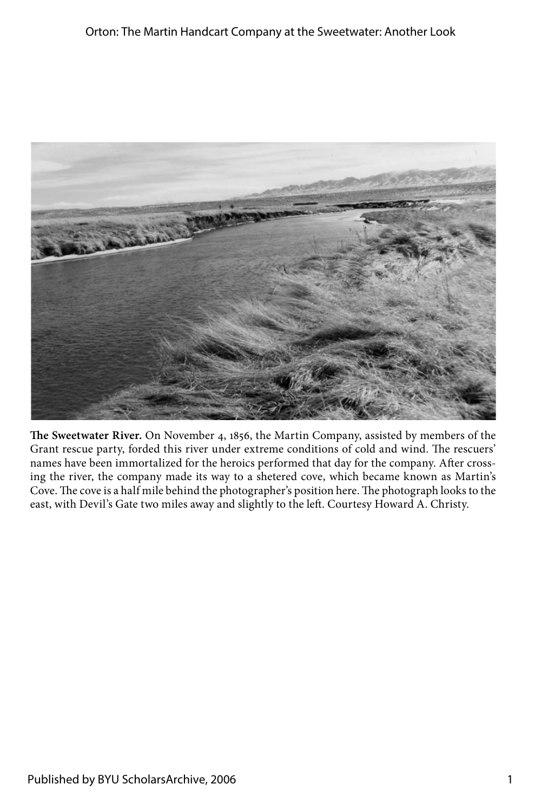

**The Sweetwater River.** On November 4, 1856, the Martin Company, assisted by members of the Grant rescue party, forded this river under extreme conditions of cold and wind. The rescuers' names have been immortalized for the heroics performed that day for the company. After crossing the river, the company made its way to a shetered cove, which became known as Martin's Cove. The cove is a half mile behind the photographer's position here. The photograph looks to the east, with Devil's Gate two miles away and slightly to the left. Courtesy Howard A. Christy.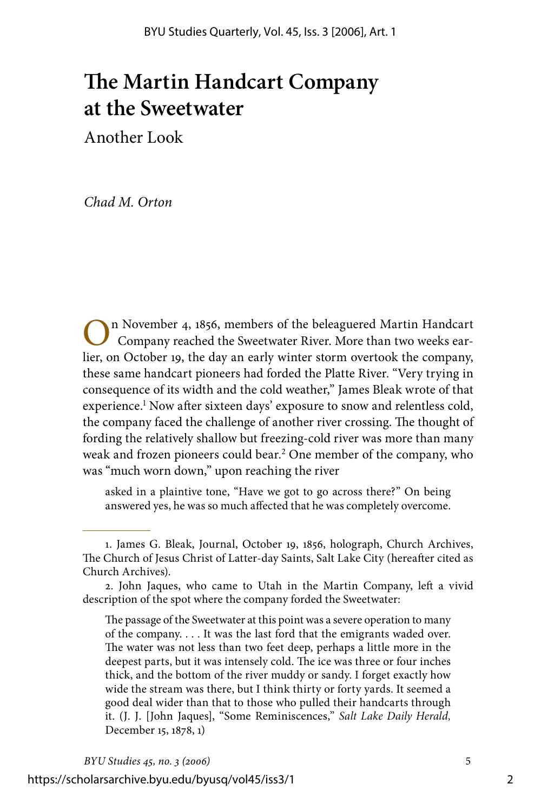# **The Martin Handcart Company at the Sweetwater**

Another Look

*Chad M. Orton*

n November 4, 1856, members of the beleaguered Martin Handcart Company reached the Sweetwater River. More than two weeks earlier, on October 19, the day an early winter storm overtook the company, these same handcart pioneers had forded the Platte River. "Very trying in consequence of its width and the cold weather," James Bleak wrote of that experience.<sup>1</sup> Now after sixteen days' exposure to snow and relentless cold, the company faced the challenge of another river crossing. The thought of fording the relatively shallow but freezing-cold river was more than many weak and frozen pioneers could bear.<sup>2</sup> One member of the company, who was "much worn down," upon reaching the river

asked in a plaintive tone, "Have we got to go across there?" On being answered yes, he was so much affected that he was completely overcome.

The passage of the Sweetwater at this point was a severe operation to many of the company. . . . It was the last ford that the emigrants waded over. The water was not less than two feet deep, perhaps a little more in the deepest parts, but it was intensely cold. The ice was three or four inches thick, and the bottom of the river muddy or sandy. I forget exactly how wide the stream was there, but I think thirty or forty yards. It seemed a good deal wider than that to those who pulled their handcarts through it. (J. J. [John Jaques], "Some Reminiscences," *Salt Lake Daily Herald,* December 15, 1878, 1)

https://scholarsarchive.byu.edu/byusq/vol45/iss3/1

<sup>.</sup> James G. Bleak, Journal, October 19, 1856, holograph, Church Archives, The Church of Jesus Christ of Latter-day Saints, Salt Lake City (hereafter cited as Church Archives).

<sup>.</sup> John Jaques, who came to Utah in the Martin Company, left a vivid description of the spot where the company forded the Sweetwater: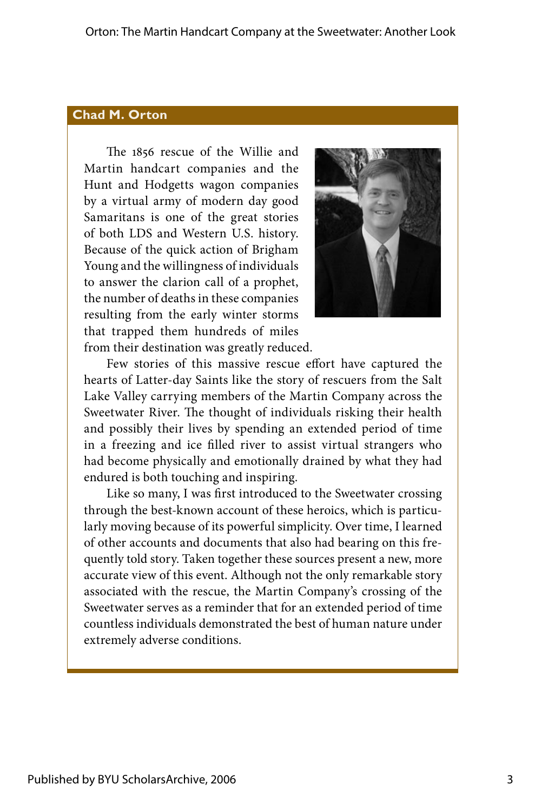#### **Chad M. Orton**

The 1856 rescue of the Willie and Martin handcart companies and the Hunt and Hodgetts wagon companies by a virtual army of modern day good Samaritans is one of the great stories of both LDS and Western U.S. history. Because of the quick action of Brigham Young and the willingness of individuals to answer the clarion call of a prophet, the number of deaths in these companies resulting from the early winter storms that trapped them hundreds of miles from their destination was greatly reduced.



Few stories of this massive rescue effort have captured the hearts of Latter-day Saints like the story of rescuers from the Salt Lake Valley carrying members of the Martin Company across the Sweetwater River. The thought of individuals risking their health and possibly their lives by spending an extended period of time in a freezing and ice filled river to assist virtual strangers who had become physically and emotionally drained by what they had endured is both touching and inspiring.

Like so many, I was first introduced to the Sweetwater crossing through the best-known account of these heroics, which is particularly moving because of its powerful simplicity. Over time, I learned of other accounts and documents that also had bearing on this frequently told story. Taken together these sources present a new, more accurate view of this event. Although not the only remarkable story associated with the rescue, the Martin Company's crossing of the Sweetwater serves as a reminder that for an extended period of time countless individuals demonstrated the best of human nature under extremely adverse conditions.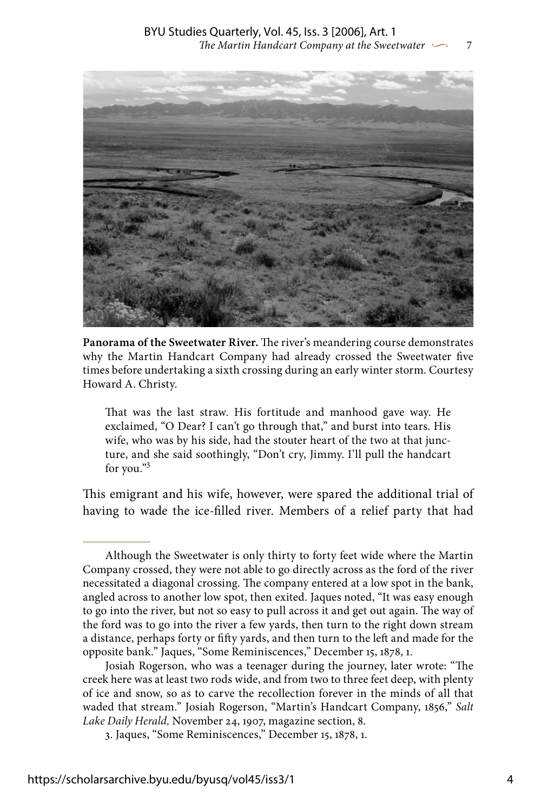

**Panorama of the Sweetwater River.** The river's meandering course demonstrates why the Martin Handcart Company had already crossed the Sweetwater five times before undertaking a sixth crossing during an early winter storm. Courtesy Howard A. Christy.

That was the last straw. His fortitude and manhood gave way. He exclaimed, "O Dear? I can't go through that," and burst into tears. His wife, who was by his side, had the stouter heart of the two at that juncture, and she said soothingly, "Don't cry, Jimmy. I'll pull the handcart for you."

This emigrant and his wife, however, were spared the additional trial of having to wade the ice-filled river. Members of a relief party that had

Although the Sweetwater is only thirty to forty feet wide where the Martin Company crossed, they were not able to go directly across as the ford of the river necessitated a diagonal crossing. The company entered at a low spot in the bank, angled across to another low spot, then exited. Jaques noted, "It was easy enough to go into the river, but not so easy to pull across it and get out again. The way of the ford was to go into the river a few yards, then turn to the right down stream a distance, perhaps forty or fifty yards, and then turn to the left and made for the opposite bank." Jaques, "Some Reminiscences," December 15, 1878, 1.

Josiah Rogerson, who was a teenager during the journey, later wrote: "The creek here was at least two rods wide, and from two to three feet deep, with plenty of ice and snow, so as to carve the recollection forever in the minds of all that waded that stream." Josiah Rogerson, "Martin's Handcart Company, 1856," *Salt Lake Daily Herald,* November 24, 1907, magazine section, 8.

<sup>.</sup> Jaques, "Some Reminiscences," December 15, 1878, 1.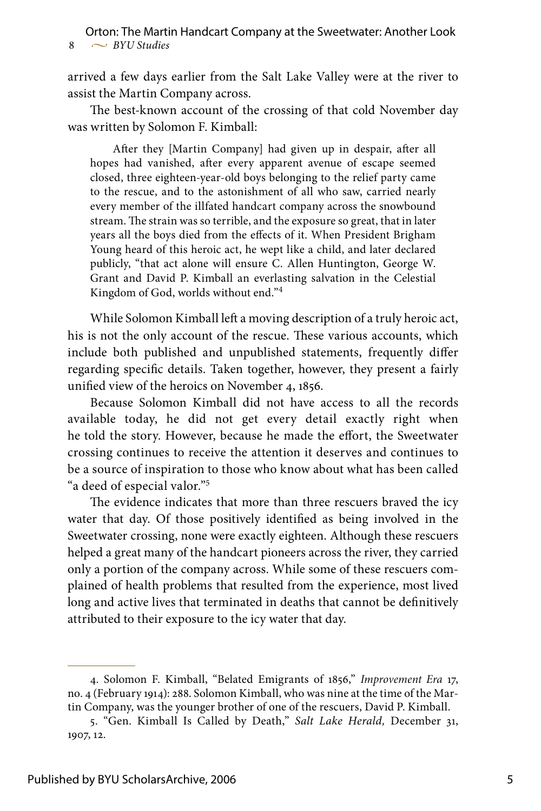arrived a few days earlier from the Salt Lake Valley were at the river to assist the Martin Company across.

The best-known account of the crossing of that cold November day was written by Solomon F. Kimball:

After they [Martin Company] had given up in despair, after all hopes had vanished, after every apparent avenue of escape seemed closed, three eighteen-year-old boys belonging to the relief party came to the rescue, and to the astonishment of all who saw, carried nearly every member of the illfated handcart company across the snowbound stream. The strain was so terrible, and the exposure so great, that in later years all the boys died from the effects of it. When President Brigham Young heard of this heroic act, he wept like a child, and later declared publicly, "that act alone will ensure C. Allen Huntington, George W. Grant and David P. Kimball an everlasting salvation in the Celestial Kingdom of God, worlds without end."

While Solomon Kimball left a moving description of a truly heroic act, his is not the only account of the rescue. These various accounts, which include both published and unpublished statements, frequently differ regarding specific details. Taken together, however, they present a fairly unified view of the heroics on November 4, 1856.

Because Solomon Kimball did not have access to all the records available today, he did not get every detail exactly right when he told the story. However, because he made the effort, the Sweetwater crossing continues to receive the attention it deserves and continues to be a source of inspiration to those who know about what has been called "a deed of especial valor."

The evidence indicates that more than three rescuers braved the icy water that day. Of those positively identified as being involved in the Sweetwater crossing, none were exactly eighteen. Although these rescuers helped a great many of the handcart pioneers across the river, they carried only a portion of the company across. While some of these rescuers complained of health problems that resulted from the experience, most lived long and active lives that terminated in deaths that cannot be definitively attributed to their exposure to the icy water that day.

<sup>.</sup> Solomon F. Kimball, "Belated Emigrants of 1856," *Improvement Era* 17, no. 4 (February 1914): 288. Solomon Kimball, who was nine at the time of the Martin Company, was the younger brother of one of the rescuers, David P. Kimball.

<sup>. &</sup>quot;Gen. Kimball Is Called by Death," *Salt Lake Herald,* December 31, 1907, 12.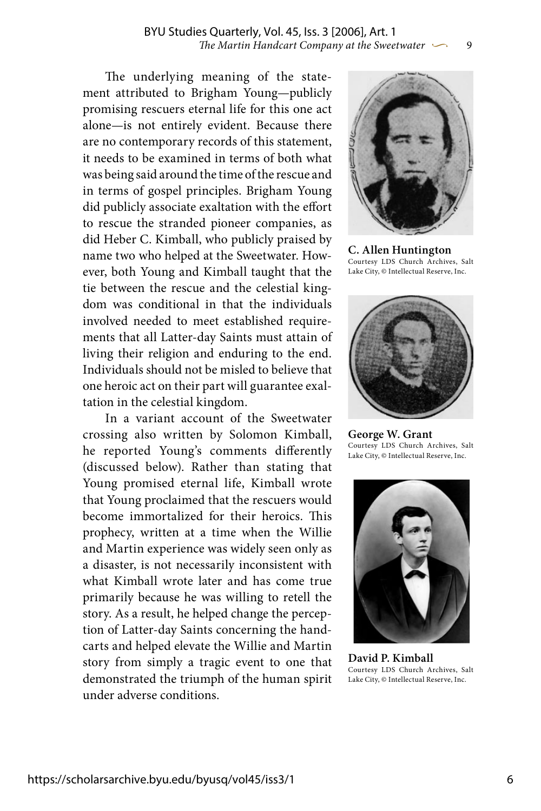The underlying meaning of the statement attributed to Brigham Young—publicly promising rescuers eternal life for this one act alone—is not entirely evident. Because there are no contemporary records of this statement, it needs to be examined in terms of both what was being said around the time of the rescue and in terms of gospel principles. Brigham Young did publicly associate exaltation with the effort to rescue the stranded pioneer companies, as did Heber C. Kimball, who publicly praised by name two who helped at the Sweetwater. However, both Young and Kimball taught that the tie between the rescue and the celestial kingdom was conditional in that the individuals involved needed to meet established requirements that all Latter-day Saints must attain of living their religion and enduring to the end. Individuals should not be misled to believe that one heroic act on their part will guarantee exaltation in the celestial kingdom.

In a variant account of the Sweetwater crossing also written by Solomon Kimball, he reported Young's comments differently (discussed below). Rather than stating that Young promised eternal life, Kimball wrote that Young proclaimed that the rescuers would become immortalized for their heroics. This prophecy, written at a time when the Willie and Martin experience was widely seen only as a disaster, is not necessarily inconsistent with what Kimball wrote later and has come true primarily because he was willing to retell the story. As a result, he helped change the perception of Latter-day Saints concerning the handcarts and helped elevate the Willie and Martin story from simply a tragic event to one that demonstrated the triumph of the human spirit under adverse conditions.



**C. Allen Huntington** Courtesy LDS Church Archives, Salt Lake City, © Intellectual Reserve, Inc.



**George W. Grant** Courtesy LDS Church Archives, Salt Lake City, © Intellectual Reserve, Inc.



**David P. Kimball** Courtesy LDS Church Archives, Salt Lake City, © Intellectual Reserve, Inc.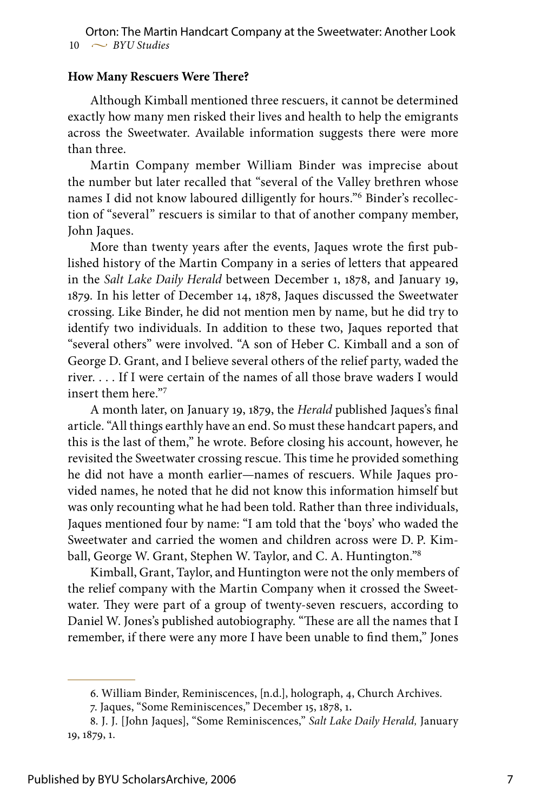### **How Many Rescuers Were There?**

Although Kimball mentioned three rescuers, it cannot be determined exactly how many men risked their lives and health to help the emigrants across the Sweetwater. Available information suggests there were more than three.

Martin Company member William Binder was imprecise about the number but later recalled that "several of the Valley brethren whose names I did not know laboured dilligently for hours." Binder's recollection of "several" rescuers is similar to that of another company member, John Jaques.

More than twenty years after the events, Jaques wrote the first published history of the Martin Company in a series of letters that appeared in the *Salt Lake Daily Herald* between December 1, 1878, and January 19, 1879. In his letter of December 14, 1878, Jaques discussed the Sweetwater crossing. Like Binder, he did not mention men by name, but he did try to identify two individuals. In addition to these two, Jaques reported that "several others" were involved. "A son of Heber C. Kimball and a son of George D. Grant, and I believe several others of the relief party, waded the river. . . . If I were certain of the names of all those brave waders I would insert them here."

A month later, on January 19, 1879, the *Herald* published Jaques's final article. "All things earthly have an end. So must these handcart papers, and this is the last of them," he wrote. Before closing his account, however, he revisited the Sweetwater crossing rescue. This time he provided something he did not have a month earlier—names of rescuers. While Jaques provided names, he noted that he did not know this information himself but was only recounting what he had been told. Rather than three individuals, Jaques mentioned four by name: "I am told that the 'boys' who waded the Sweetwater and carried the women and children across were D. P. Kimball, George W. Grant, Stephen W. Taylor, and C. A. Huntington."<sup>8</sup>

Kimball, Grant, Taylor, and Huntington were not the only members of the relief company with the Martin Company when it crossed the Sweetwater. They were part of a group of twenty-seven rescuers, according to Daniel W. Jones's published autobiography. "These are all the names that I remember, if there were any more I have been unable to find them," Jones

<sup>.</sup> William Binder, Reminiscences, [n.d.], holograph, 4, Church Archives.

<sup>.</sup> Jaques, "Some Reminiscences," December 15, 1878, 1**.**

<sup>.</sup> J. J. [John Jaques], "Some Reminiscences," *Salt Lake Daily Herald,* January 19, 1879, 1.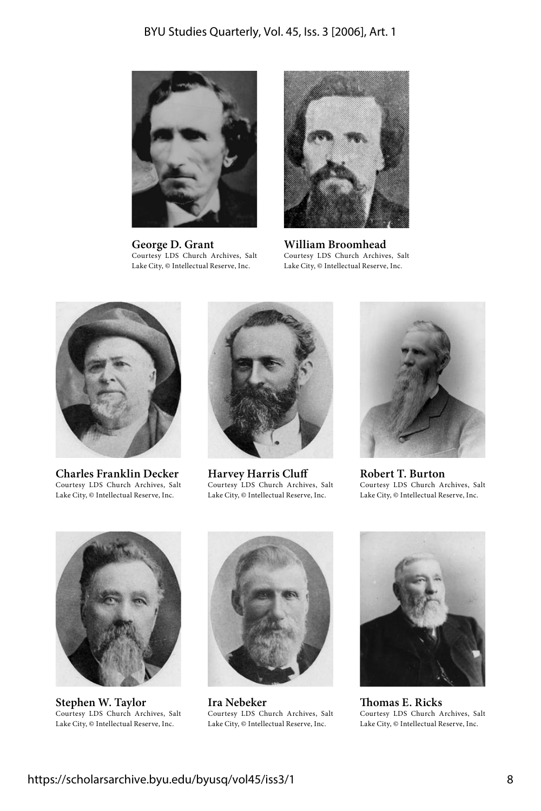

**George D. Grant** Courtesy LDS Church Archives, Salt Lake City, © Intellectual Reserve, Inc.



**William Broomhead** Courtesy LDS Church Archives, Salt Lake City, © Intellectual Reserve, Inc.



**Charles Franklin Decker** Courtesy LDS Church Archives, Salt Lake City, © Intellectual Reserve, Inc.



**Harvey Harris Cluff** Courtesy LDS Church Archives, Salt Lake City, © Intellectual Reserve, Inc.



**Robert T. Burton** Courtesy LDS Church Archives, Salt Lake City, © Intellectual Reserve, Inc.



**Stephen W. Taylor** Courtesy LDS Church Archives, Salt Lake City, © Intellectual Reserve, Inc.



**Ira Nebeker** Courtesy LDS Church Archives, Salt Lake City, © Intellectual Reserve, Inc.



**Thomas E. Ricks** Courtesy LDS Church Archives, Salt Lake City, © Intellectual Reserve, Inc.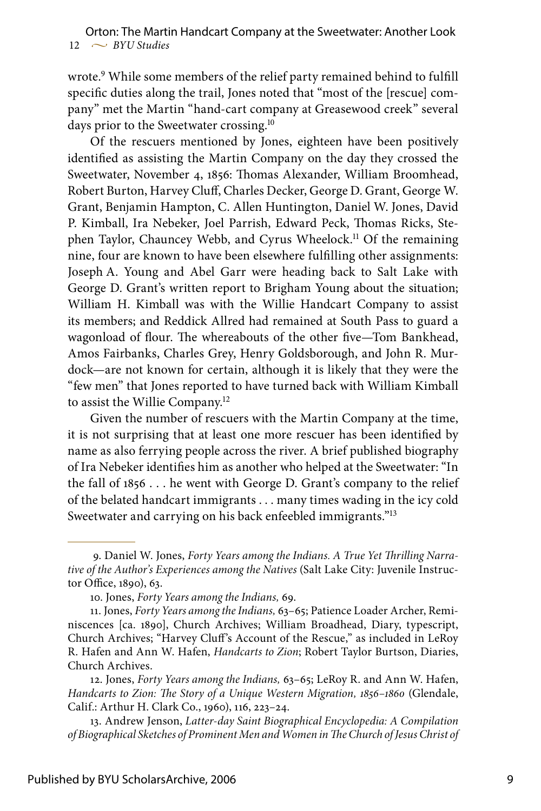wrote. While some members of the relief party remained behind to fulfill specific duties along the trail, Jones noted that "most of the [rescue] company" met the Martin "hand-cart company at Greasewood creek" several days prior to the Sweetwater crossing.<sup>10</sup>

Of the rescuers mentioned by Jones, eighteen have been positively identified as assisting the Martin Company on the day they crossed the Sweetwater, November 4, 1856: Thomas Alexander, William Broomhead, Robert Burton, Harvey Cluff, Charles Decker, George D. Grant, George W. Grant, Benjamin Hampton, C. Allen Huntington, Daniel W. Jones, David P. Kimball, Ira Nebeker, Joel Parrish, Edward Peck, Thomas Ricks, Stephen Taylor, Chauncey Webb, and Cyrus Wheelock.<sup>11</sup> Of the remaining nine, four are known to have been elsewhere fulfilling other assignments: Joseph A. Young and Abel Garr were heading back to Salt Lake with George D. Grant's written report to Brigham Young about the situation; William H. Kimball was with the Willie Handcart Company to assist its members; and Reddick Allred had remained at South Pass to guard a wagonload of flour. The whereabouts of the other five—Tom Bankhead, Amos Fairbanks, Charles Grey, Henry Goldsborough, and John R. Murdock—are not known for certain, although it is likely that they were the "few men" that Jones reported to have turned back with William Kimball to assist the Willie Company.<sup>12</sup>

Given the number of rescuers with the Martin Company at the time, it is not surprising that at least one more rescuer has been identified by name as also ferrying people across the river. A brief published biography of Ira Nebeker identifies him as another who helped at the Sweetwater: "In the fall of 1856 . . . he went with George D. Grant's company to the relief of the belated handcart immigrants . . . many times wading in the icy cold Sweetwater and carrying on his back enfeebled immigrants."13

<sup>.</sup> Daniel W. Jones, *Forty Years among the Indians. A True Yet Thrilling Narrative of the Author's Experiences among the Natives* (Salt Lake City: Juvenile Instructor Office, 1890), 63.

<sup>10.</sup> Jones, *Forty Years among the Indians,* 69.

<sup>11.</sup> Jones, *Forty Years among the Indians,* 63–65; Patience Loader Archer, Reminiscences [ca. 1890], Church Archives; William Broadhead, Diary, typescript, Church Archives; "Harvey Cluff's Account of the Rescue," as included in LeRoy R. Hafen and Ann W. Hafen, *Handcarts to Zion*; Robert Taylor Burtson, Diaries, Church Archives.

<sup>12.</sup> Jones, *Forty Years among the Indians,* 63–65; LeRoy R. and Ann W. Hafen, *Handcarts to Zion: The Story of a Unique Western Migration, 1856–1860* (Glendale, Calif.: Arthur H. Clark Co., 1960), 116, 223–24.

<sup>13.</sup> Andrew Jenson, *Latter-day Saint Biographical Encyclopedia: A Compilation of Biographical Sketches of Prominent Men and Women in The Church of Jesus Christ of*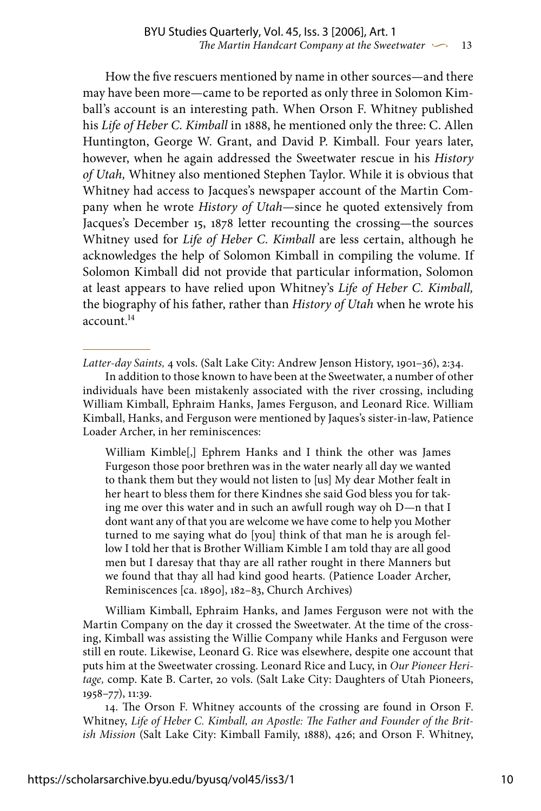How the five rescuers mentioned by name in other sources—and there may have been more—came to be reported as only three in Solomon Kimball's account is an interesting path. When Orson F. Whitney published his *Life of Heber C. Kimball* in 1888, he mentioned only the three: C. Allen Huntington, George W. Grant, and David P. Kimball. Four years later, however, when he again addressed the Sweetwater rescue in his *History of Utah,* Whitney also mentioned Stephen Taylor. While it is obvious that Whitney had access to Jacques's newspaper account of the Martin Company when he wrote *History of Utah*—since he quoted extensively from Jacques's December 15, 1878 letter recounting the crossing—the sources Whitney used for *Life of Heber C. Kimball* are less certain, although he acknowledges the help of Solomon Kimball in compiling the volume. If Solomon Kimball did not provide that particular information, Solomon at least appears to have relied upon Whitney's *Life of Heber C. Kimball,* the biography of his father, rather than *History of Utah* when he wrote his account.14

*Latter-day Saints,* 4 vols. (Salt Lake City: Andrew Jenson History, 1901–36), 2:34.

In addition to those known to have been at the Sweetwater, a number of other individuals have been mistakenly associated with the river crossing, including William Kimball, Ephraim Hanks, James Ferguson, and Leonard Rice. William Kimball, Hanks, and Ferguson were mentioned by Jaques's sister-in-law, Patience Loader Archer, in her reminiscences:

William Kimble[,] Ephrem Hanks and I think the other was James Furgeson those poor brethren was in the water nearly all day we wanted to thank them but they would not listen to [us] My dear Mother fealt in her heart to bless them for there Kindnes she said God bless you for taking me over this water and in such an awfull rough way oh D—n that I dont want any of that you are welcome we have come to help you Mother turned to me saying what do [you] think of that man he is arough fellow I told her that is Brother William Kimble I am told thay are all good men but I daresay that thay are all rather rought in there Manners but we found that thay all had kind good hearts. (Patience Loader Archer, Reminiscences [ca. 1890], 182–83, Church Archives)

William Kimball, Ephraim Hanks, and James Ferguson were not with the Martin Company on the day it crossed the Sweetwater. At the time of the crossing, Kimball was assisting the Willie Company while Hanks and Ferguson were still en route. Likewise, Leonard G. Rice was elsewhere, despite one account that puts him at the Sweetwater crossing. Leonard Rice and Lucy, in *Our Pioneer Heritage,* comp. Kate B. Carter, 20 vols. (Salt Lake City: Daughters of Utah Pioneers, 1958–77), 11:39.

14. The Orson F. Whitney accounts of the crossing are found in Orson F. Whitney, *Life of Heber C. Kimball, an Apostle: The Father and Founder of the British Mission* (Salt Lake City: Kimball Family, 1888), 426; and Orson F. Whitney,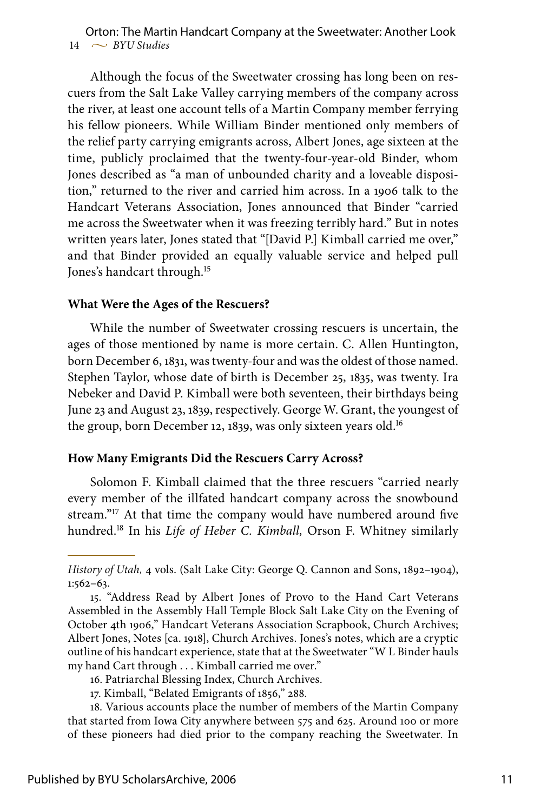#### $14 \sim$  *BYU Studies* Orton: The Martin Handcart Company at the Sweetwater: Another Look

Although the focus of the Sweetwater crossing has long been on rescuers from the Salt Lake Valley carrying members of the company across the river, at least one account tells of a Martin Company member ferrying his fellow pioneers. While William Binder mentioned only members of the relief party carrying emigrants across, Albert Jones, age sixteen at the time, publicly proclaimed that the twenty-four-year-old Binder, whom Jones described as "a man of unbounded charity and a loveable disposition," returned to the river and carried him across. In a 1906 talk to the Handcart Veterans Association, Jones announced that Binder "carried me across the Sweetwater when it was freezing terribly hard." But in notes written years later, Jones stated that "[David P.] Kimball carried me over," and that Binder provided an equally valuable service and helped pull Jones's handcart through.<sup>15</sup>

#### **What Were the Ages of the Rescuers?**

While the number of Sweetwater crossing rescuers is uncertain, the ages of those mentioned by name is more certain. C. Allen Huntington, born December 6, 1831, was twenty-four and was the oldest of those named. Stephen Taylor, whose date of birth is December 25, 1835, was twenty. Ira Nebeker and David P. Kimball were both seventeen, their birthdays being June 23 and August 23, 1839, respectively. George W. Grant, the youngest of the group, born December 12, 1839, was only sixteen years old.<sup>16</sup>

#### **How Many Emigrants Did the Rescuers Carry Across?**

Solomon F. Kimball claimed that the three rescuers "carried nearly every member of the illfated handcart company across the snowbound stream."<sup>17</sup> At that time the company would have numbered around five hundred.18 In his *Life of Heber C. Kimball,* Orson F. Whitney similarly

*History of Utah,* 4 vols. (Salt Lake City: George Q. Cannon and Sons, 1892–1904), 1:562–63.

<sup>15. &</sup>quot;Address Read by Albert Jones of Provo to the Hand Cart Veterans Assembled in the Assembly Hall Temple Block Salt Lake City on the Evening of October 4th 1906," Handcart Veterans Association Scrapbook, Church Archives; Albert Jones, Notes [ca. 1918], Church Archives. Jones's notes, which are a cryptic outline of his handcart experience, state that at the Sweetwater "W L Binder hauls my hand Cart through . . . Kimball carried me over."

<sup>16.</sup> Patriarchal Blessing Index, Church Archives.

<sup>17.</sup> Kimball, "Belated Emigrants of 1856," 288.

<sup>18.</sup> Various accounts place the number of members of the Martin Company that started from Iowa City anywhere between 575 and 625. Around 100 or more of these pioneers had died prior to the company reaching the Sweetwater. In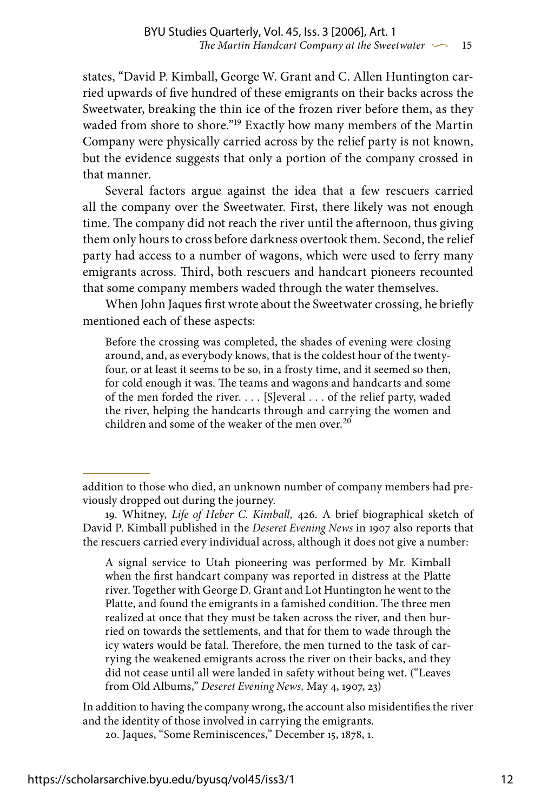states, "David P. Kimball, George W. Grant and C. Allen Huntington carried upwards of five hundred of these emigrants on their backs across the Sweetwater, breaking the thin ice of the frozen river before them, as they waded from shore to shore."<sup>19</sup> Exactly how many members of the Martin Company were physically carried across by the relief party is not known, but the evidence suggests that only a portion of the company crossed in that manner.

Several factors argue against the idea that a few rescuers carried all the company over the Sweetwater. First, there likely was not enough time. The company did not reach the river until the afternoon, thus giving them only hours to cross before darkness overtook them. Second, the relief party had access to a number of wagons, which were used to ferry many emigrants across. Third, both rescuers and handcart pioneers recounted that some company members waded through the water themselves.

When John Jaques first wrote about the Sweetwater crossing, he briefly mentioned each of these aspects:

Before the crossing was completed, the shades of evening were closing around, and, as everybody knows, that is the coldest hour of the twentyfour, or at least it seems to be so, in a frosty time, and it seemed so then, for cold enough it was. The teams and wagons and handcarts and some of the men forded the river. . . . [S]everal . . . of the relief party, waded the river, helping the handcarts through and carrying the women and children and some of the weaker of the men over.<sup>20</sup>

A signal service to Utah pioneering was performed by Mr. Kimball when the first handcart company was reported in distress at the Platte river. Together with George D. Grant and Lot Huntington he went to the Platte, and found the emigrants in a famished condition. The three men realized at once that they must be taken across the river, and then hurried on towards the settlements, and that for them to wade through the icy waters would be fatal. Therefore, the men turned to the task of carrying the weakened emigrants across the river on their backs, and they did not cease until all were landed in safety without being wet. ("Leaves from Old Albums," *Deseret Evening News,* May 4, 1907, 23)

In addition to having the company wrong, the account also misidentifies the river and the identity of those involved in carrying the emigrants.

20. Jaques, "Some Reminiscences," December 15, 1878, 1.

addition to those who died, an unknown number of company members had previously dropped out during the journey.

<sup>19.</sup> Whitney, *Life of Heber C. Kimball,* 426. A brief biographical sketch of David P. Kimball published in the *Deseret Evening News* in 1907 also reports that the rescuers carried every individual across, although it does not give a number: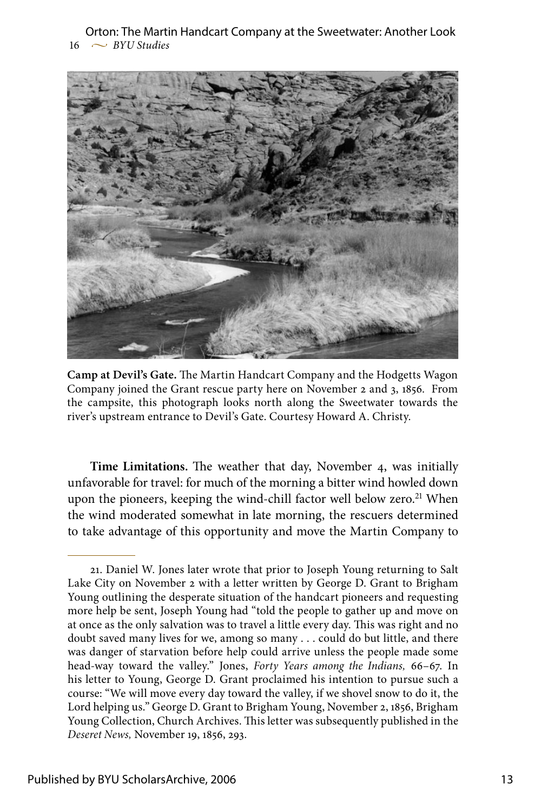$16 \sim$  *BYU Studies* Orton: The Martin Handcart Company at the Sweetwater: Another Look



**Camp at Devil's Gate.** The Martin Handcart Company and the Hodgetts Wagon Company joined the Grant rescue party here on November 2 and 3, 1856. From the campsite, this photograph looks north along the Sweetwater towards the river's upstream entrance to Devil's Gate. Courtesy Howard A. Christy.

**Time Limitations.** The weather that day, November 4, was initially unfavorable for travel: for much of the morning a bitter wind howled down upon the pioneers, keeping the wind-chill factor well below zero.<sup>21</sup> When the wind moderated somewhat in late morning, the rescuers determined to take advantage of this opportunity and move the Martin Company to

<sup>21.</sup> Daniel W. Jones later wrote that prior to Joseph Young returning to Salt Lake City on November 2 with a letter written by George D. Grant to Brigham Young outlining the desperate situation of the handcart pioneers and requesting more help be sent, Joseph Young had "told the people to gather up and move on at once as the only salvation was to travel a little every day. This was right and no doubt saved many lives for we, among so many . . . could do but little, and there was danger of starvation before help could arrive unless the people made some head-way toward the valley." Jones, *Forty Years among the Indians,* 66–67. In his letter to Young, George D. Grant proclaimed his intention to pursue such a course: "We will move every day toward the valley, if we shovel snow to do it, the Lord helping us." George D. Grant to Brigham Young, November 2, 1856, Brigham Young Collection, Church Archives. This letter was subsequently published in the *Deseret News,* November 19, 1856, 293.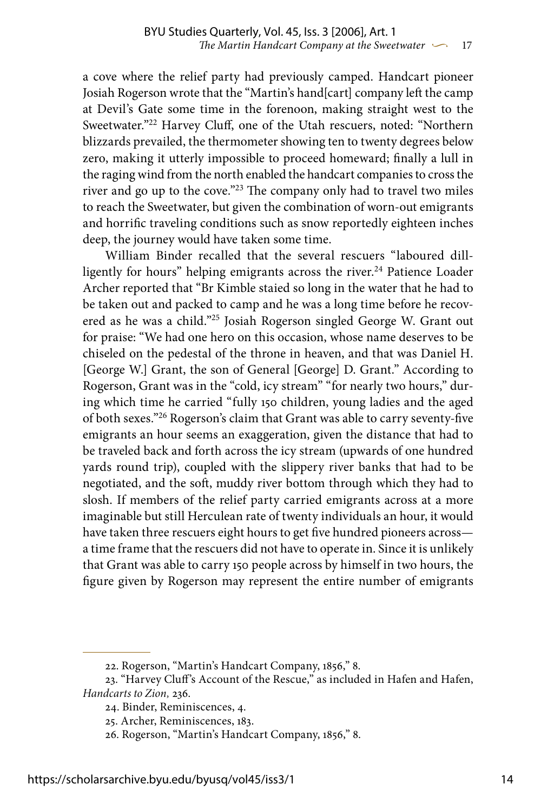a cove where the relief party had previously camped. Handcart pioneer Josiah Rogerson wrote that the "Martin's hand[cart] company left the camp at Devil's Gate some time in the forenoon, making straight west to the Sweetwater."22 Harvey Cluff, one of the Utah rescuers, noted: "Northern blizzards prevailed, the thermometer showing ten to twenty degrees below zero, making it utterly impossible to proceed homeward; finally a lull in the raging wind from the north enabled the handcart companies to cross the river and go up to the cove."23 The company only had to travel two miles to reach the Sweetwater, but given the combination of worn-out emigrants and horrific traveling conditions such as snow reportedly eighteen inches deep, the journey would have taken some time.

William Binder recalled that the several rescuers "laboured dillligently for hours" helping emigrants across the river.<sup>24</sup> Patience Loader Archer reported that "Br Kimble staied so long in the water that he had to be taken out and packed to camp and he was a long time before he recovered as he was a child."25 Josiah Rogerson singled George W. Grant out for praise: "We had one hero on this occasion, whose name deserves to be chiseled on the pedestal of the throne in heaven, and that was Daniel H. [George W.] Grant, the son of General [George] D. Grant." According to Rogerson, Grant was in the "cold, icy stream" "for nearly two hours," during which time he carried "fully 150 children, young ladies and the aged of both sexes."26 Rogerson's claim that Grant was able to carry seventy-five emigrants an hour seems an exaggeration, given the distance that had to be traveled back and forth across the icy stream (upwards of one hundred yards round trip), coupled with the slippery river banks that had to be negotiated, and the soft, muddy river bottom through which they had to slosh. If members of the relief party carried emigrants across at a more imaginable but still Herculean rate of twenty individuals an hour, it would have taken three rescuers eight hours to get five hundred pioneers across a time frame that the rescuers did not have to operate in. Since it is unlikely that Grant was able to carry 150 people across by himself in two hours, the figure given by Rogerson may represent the entire number of emigrants

<sup>22.</sup> Rogerson, "Martin's Handcart Company, 1856," 8.

<sup>23. &</sup>quot;Harvey Cluff's Account of the Rescue," as included in Hafen and Hafen, *Handcarts to Zion,* 236.

<sup>24.</sup> Binder, Reminiscences, 4.

<sup>25.</sup> Archer, Reminiscences, 183.

<sup>26.</sup> Rogerson, "Martin's Handcart Company, 1856," 8.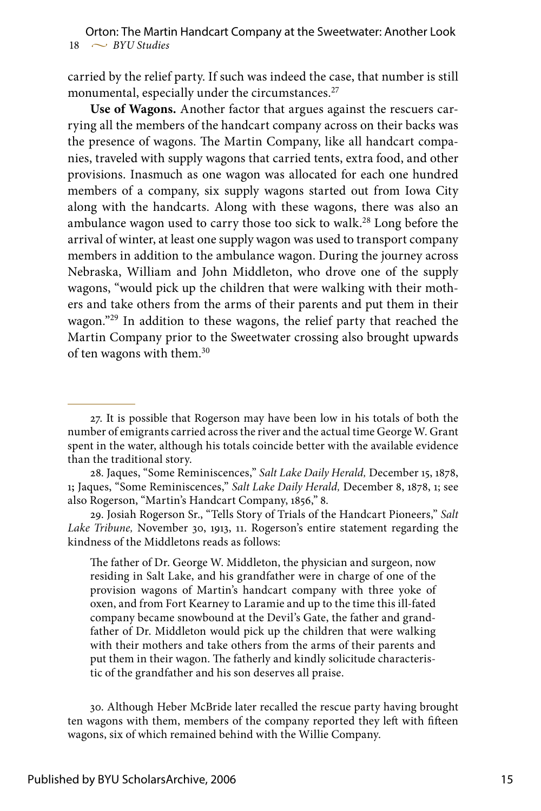carried by the relief party. If such was indeed the case, that number is still monumental, especially under the circumstances.<sup>27</sup>

**Use of Wagons.** Another factor that argues against the rescuers carrying all the members of the handcart company across on their backs was the presence of wagons. The Martin Company, like all handcart companies, traveled with supply wagons that carried tents, extra food, and other provisions. Inasmuch as one wagon was allocated for each one hundred members of a company, six supply wagons started out from Iowa City along with the handcarts. Along with these wagons, there was also an ambulance wagon used to carry those too sick to walk.28 Long before the arrival of winter, at least one supply wagon was used to transport company members in addition to the ambulance wagon. During the journey across Nebraska, William and John Middleton, who drove one of the supply wagons, "would pick up the children that were walking with their mothers and take others from the arms of their parents and put them in their wagon."29 In addition to these wagons, the relief party that reached the Martin Company prior to the Sweetwater crossing also brought upwards of ten wagons with them.30

The father of Dr. George W. Middleton, the physician and surgeon, now residing in Salt Lake, and his grandfather were in charge of one of the provision wagons of Martin's handcart company with three yoke of oxen, and from Fort Kearney to Laramie and up to the time this ill-fated company became snowbound at the Devil's Gate, the father and grandfather of Dr. Middleton would pick up the children that were walking with their mothers and take others from the arms of their parents and put them in their wagon. The fatherly and kindly solicitude characteristic of the grandfather and his son deserves all praise.

30. Although Heber McBride later recalled the rescue party having brought ten wagons with them, members of the company reported they left with fifteen wagons, six of which remained behind with the Willie Company.

<sup>27.</sup> It is possible that Rogerson may have been low in his totals of both the number of emigrants carried across the river and the actual time George W. Grant spent in the water, although his totals coincide better with the available evidence than the traditional story.

<sup>28.</sup> Jaques, "Some Reminiscences," *Salt Lake Daily Herald,* December 15, 1878, 1**;** Jaques, "Some Reminiscences," *Salt Lake Daily Herald,* December 8, 1878, 1; see also Rogerson, "Martin's Handcart Company, 1856," 8.

<sup>29.</sup> Josiah Rogerson Sr., "Tells Story of Trials of the Handcart Pioneers," *Salt Lake Tribune,* November 30, 1913, 11. Rogerson's entire statement regarding the kindness of the Middletons reads as follows: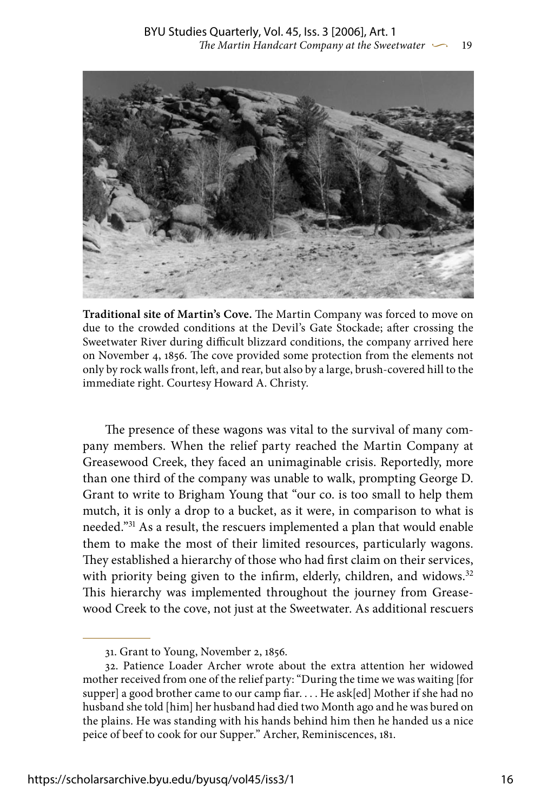

**Traditional site of Martin's Cove.** The Martin Company was forced to move on due to the crowded conditions at the Devil's Gate Stockade; after crossing the Sweetwater River during difficult blizzard conditions, the company arrived here on November 4, 1856. The cove provided some protection from the elements not only by rock walls front, left, and rear, but also by a large, brush-covered hill to the immediate right. Courtesy Howard A. Christy.

The presence of these wagons was vital to the survival of many company members. When the relief party reached the Martin Company at Greasewood Creek, they faced an unimaginable crisis. Reportedly, more than one third of the company was unable to walk, prompting George D. Grant to write to Brigham Young that "our co. is too small to help them mutch, it is only a drop to a bucket, as it were, in comparison to what is needed."31 As a result, the rescuers implemented a plan that would enable them to make the most of their limited resources, particularly wagons. They established a hierarchy of those who had first claim on their services, with priority being given to the infirm, elderly, children, and widows.<sup>32</sup> This hierarchy was implemented throughout the journey from Greasewood Creek to the cove, not just at the Sweetwater. As additional rescuers

<sup>31.</sup> Grant to Young, November 2, 1856.

<sup>32.</sup> Patience Loader Archer wrote about the extra attention her widowed mother received from one of the relief party: "During the time we was waiting [for supper] a good brother came to our camp fiar. . . . He ask[ed] Mother if she had no husband she told [him] her husband had died two Month ago and he was bured on the plains. He was standing with his hands behind him then he handed us a nice peice of beef to cook for our Supper." Archer, Reminiscences, 181.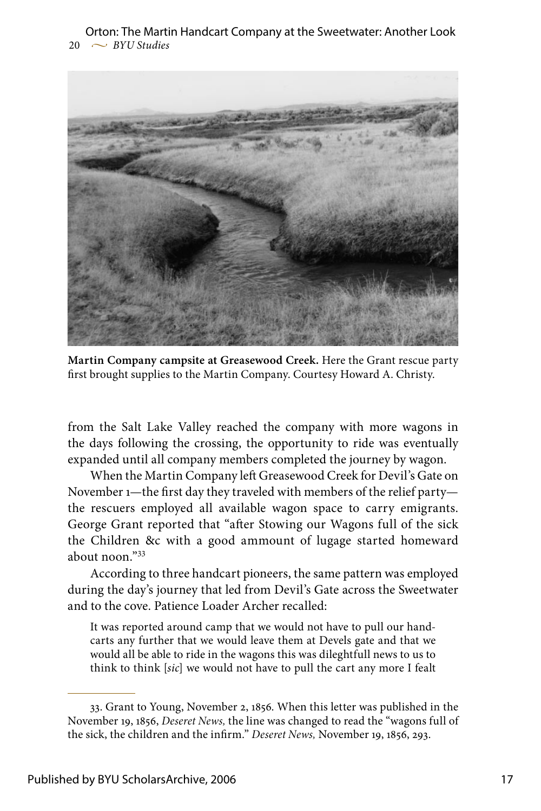$20 \sim$  *BYU Studies* Orton: The Martin Handcart Company at the Sweetwater: Another Look



**Martin Company campsite at Greasewood Creek.** Here the Grant rescue party first brought supplies to the Martin Company. Courtesy Howard A. Christy.

from the Salt Lake Valley reached the company with more wagons in the days following the crossing, the opportunity to ride was eventually expanded until all company members completed the journey by wagon.

When the Martin Company left Greasewood Creek for Devil's Gate on November 1—the first day they traveled with members of the relief party the rescuers employed all available wagon space to carry emigrants. George Grant reported that "after Stowing our Wagons full of the sick the Children &c with a good ammount of lugage started homeward about noon."33

According to three handcart pioneers, the same pattern was employed during the day's journey that led from Devil's Gate across the Sweetwater and to the cove. Patience Loader Archer recalled:

It was reported around camp that we would not have to pull our handcarts any further that we would leave them at Devels gate and that we would all be able to ride in the wagons this was dileghtfull news to us to think to think [*sic*] we would not have to pull the cart any more I fealt

<sup>33.</sup> Grant to Young, November 2, 1856. When this letter was published in the November 19, 1856, *Deseret News,* the line was changed to read the "wagons full of the sick, the children and the infirm." *Deseret News,* November 19, 1856, 293.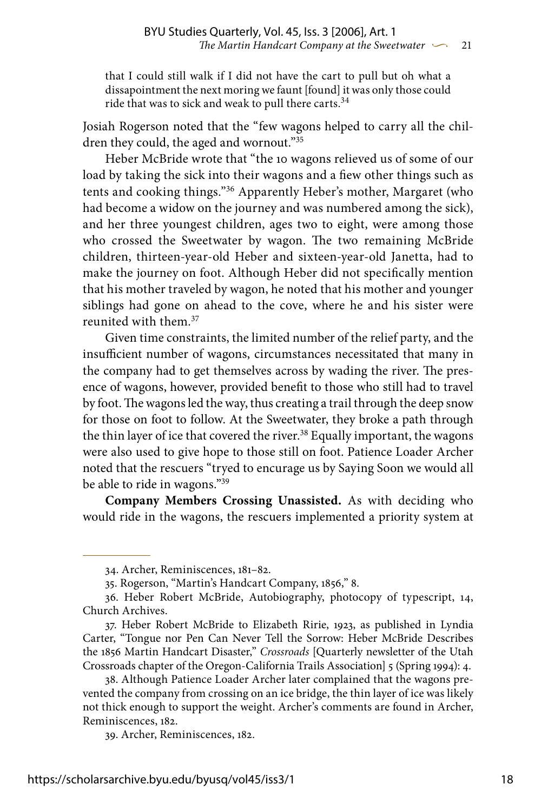that I could still walk if I did not have the cart to pull but oh what a dissapointment the next moring we faunt [found] it was only those could ride that was to sick and weak to pull there carts.<sup>34</sup>

Josiah Rogerson noted that the "few wagons helped to carry all the children they could, the aged and wornout."35

Heber McBride wrote that "the 10 wagons relieved us of some of our load by taking the sick into their wagons and a fiew other things such as tents and cooking things."36 Apparently Heber's mother, Margaret (who had become a widow on the journey and was numbered among the sick), and her three youngest children, ages two to eight, were among those who crossed the Sweetwater by wagon. The two remaining McBride children, thirteen-year-old Heber and sixteen-year-old Janetta, had to make the journey on foot. Although Heber did not specifically mention that his mother traveled by wagon, he noted that his mother and younger siblings had gone on ahead to the cove, where he and his sister were reunited with them.37

Given time constraints, the limited number of the relief party, and the insufficient number of wagons, circumstances necessitated that many in the company had to get themselves across by wading the river. The presence of wagons, however, provided benefit to those who still had to travel by foot. The wagons led the way, thus creating a trail through the deep snow for those on foot to follow. At the Sweetwater, they broke a path through the thin layer of ice that covered the river.<sup>38</sup> Equally important, the wagons were also used to give hope to those still on foot. Patience Loader Archer noted that the rescuers "tryed to encurage us by Saying Soon we would all be able to ride in wagons."39

**Company Members Crossing Unassisted.** As with deciding who would ride in the wagons, the rescuers implemented a priority system at

<sup>34.</sup> Archer, Reminiscences, 181–82.

<sup>35.</sup> Rogerson, "Martin's Handcart Company, 1856," 8.

<sup>36.</sup> Heber Robert McBride, Autobiography, photocopy of typescript, 14, Church Archives.

<sup>37.</sup> Heber Robert McBride to Elizabeth Ririe, 1923, as published in Lyndia Carter, "Tongue nor Pen Can Never Tell the Sorrow: Heber McBride Describes the 1856 Martin Handcart Disaster," *Crossroads* [Quarterly newsletter of the Utah Crossroads chapter of the Oregon-California Trails Association] 5 (Spring 1994): 4.

<sup>38.</sup> Although Patience Loader Archer later complained that the wagons prevented the company from crossing on an ice bridge, the thin layer of ice was likely not thick enough to support the weight. Archer's comments are found in Archer, Reminiscences, 182.

<sup>39.</sup> Archer, Reminiscences, 182.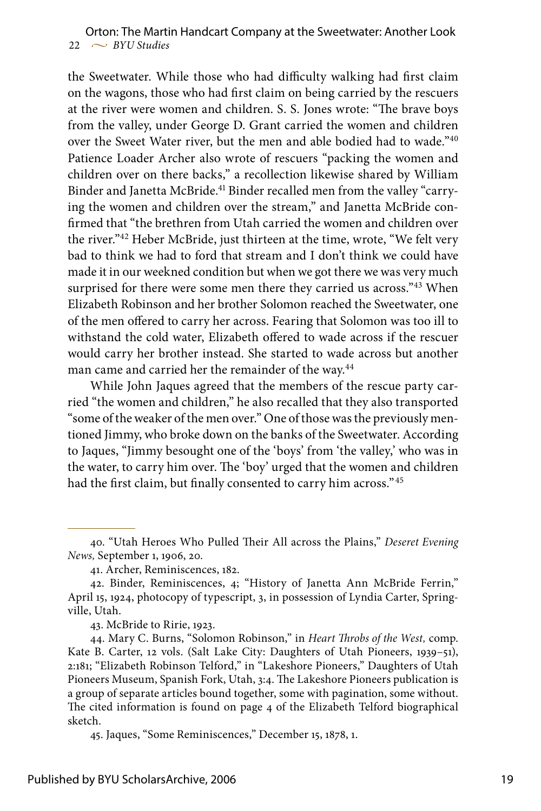the Sweetwater. While those who had difficulty walking had first claim on the wagons, those who had first claim on being carried by the rescuers at the river were women and children. S. S. Jones wrote: "The brave boys from the valley, under George D. Grant carried the women and children over the Sweet Water river, but the men and able bodied had to wade."40 Patience Loader Archer also wrote of rescuers "packing the women and children over on there backs," a recollection likewise shared by William Binder and Janetta McBride.<sup>41</sup> Binder recalled men from the valley "carrying the women and children over the stream," and Janetta McBride confirmed that "the brethren from Utah carried the women and children over the river."<sup>42</sup> Heber McBride, just thirteen at the time, wrote, "We felt very bad to think we had to ford that stream and I don't think we could have made it in our weekned condition but when we got there we was very much surprised for there were some men there they carried us across."43 When Elizabeth Robinson and her brother Solomon reached the Sweetwater, one of the men offered to carry her across. Fearing that Solomon was too ill to withstand the cold water, Elizabeth offered to wade across if the rescuer would carry her brother instead. She started to wade across but another man came and carried her the remainder of the way.<sup>44</sup>

While John Jaques agreed that the members of the rescue party carried "the women and children," he also recalled that they also transported "some of the weaker of the men over." One of those was the previously mentioned Jimmy, who broke down on the banks of the Sweetwater. According to Jaques, "Jimmy besought one of the 'boys' from 'the valley,' who was in the water, to carry him over. The 'boy' urged that the women and children had the first claim, but finally consented to carry him across."45

43. McBride to Ririe, 1923.

<sup>40. &</sup>quot;Utah Heroes Who Pulled Their All across the Plains," *Deseret Evening News,* September 1, 1906, 20.

<sup>41.</sup> Archer, Reminiscences, 182.

<sup>42.</sup> Binder, Reminiscences, 4; "History of Janetta Ann McBride Ferrin," April 15, 1924, photocopy of typescript, 3, in possession of Lyndia Carter, Springville, Utah.

<sup>44.</sup> Mary C. Burns, "Solomon Robinson," in *Heart Throbs of the West,* comp. Kate B. Carter, 12 vols. (Salt Lake City: Daughters of Utah Pioneers, 1939–51), 2:181; "Elizabeth Robinson Telford," in "Lakeshore Pioneers," Daughters of Utah Pioneers Museum, Spanish Fork, Utah, 3:4. The Lakeshore Pioneers publication is a group of separate articles bound together, some with pagination, some without. The cited information is found on page 4 of the Elizabeth Telford biographical sketch.

<sup>45.</sup> Jaques, "Some Reminiscences," December 15, 1878, 1.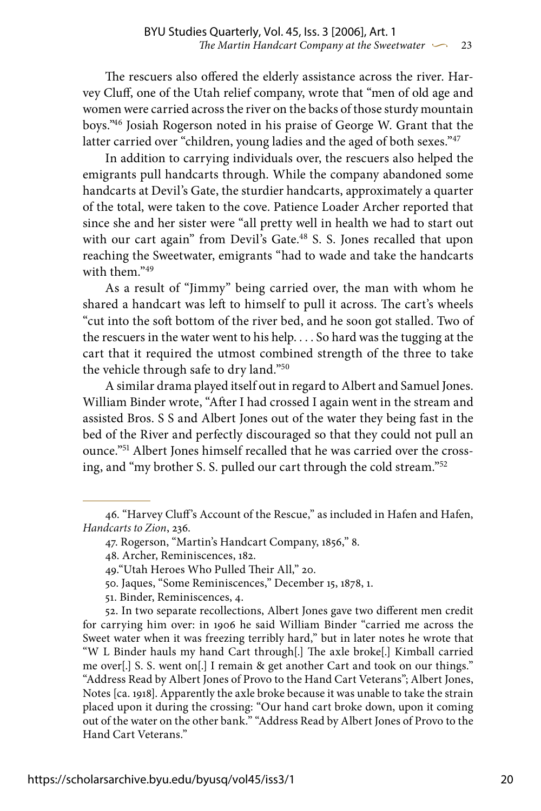The rescuers also offered the elderly assistance across the river. Harvey Cluff, one of the Utah relief company, wrote that "men of old age and women were carried across the river on the backs of those sturdy mountain boys."46 Josiah Rogerson noted in his praise of George W. Grant that the latter carried over "children, young ladies and the aged of both sexes."<sup>47</sup>

In addition to carrying individuals over, the rescuers also helped the emigrants pull handcarts through. While the company abandoned some handcarts at Devil's Gate, the sturdier handcarts, approximately a quarter of the total, were taken to the cove. Patience Loader Archer reported that since she and her sister were "all pretty well in health we had to start out with our cart again" from Devil's Gate.<sup>48</sup> S. S. Jones recalled that upon reaching the Sweetwater, emigrants "had to wade and take the handcarts with them."49

As a result of "Jimmy" being carried over, the man with whom he shared a handcart was left to himself to pull it across. The cart's wheels "cut into the soft bottom of the river bed, and he soon got stalled. Two of the rescuers in the water went to his help. . . . So hard was the tugging at the cart that it required the utmost combined strength of the three to take the vehicle through safe to dry land."50

A similar drama played itself out in regard to Albert and Samuel Jones. William Binder wrote, "After I had crossed I again went in the stream and assisted Bros. S S and Albert Jones out of the water they being fast in the bed of the River and perfectly discouraged so that they could not pull an ounce."51 Albert Jones himself recalled that he was carried over the crossing, and "my brother S. S. pulled our cart through the cold stream."52

52. In two separate recollections, Albert Jones gave two different men credit for carrying him over: in 1906 he said William Binder "carried me across the Sweet water when it was freezing terribly hard," but in later notes he wrote that "W L Binder hauls my hand Cart through[.] The axle broke[.] Kimball carried me over[.] S. S. went on[.] I remain & get another Cart and took on our things." "Address Read by Albert Jones of Provo to the Hand Cart Veterans"; Albert Jones, Notes [ca. 1918]. Apparently the axle broke because it was unable to take the strain placed upon it during the crossing: "Our hand cart broke down, upon it coming out of the water on the other bank." "Address Read by Albert Jones of Provo to the Hand Cart Veterans."

<sup>46. &</sup>quot;Harvey Cluff's Account of the Rescue," as included in Hafen and Hafen, *Handcarts to Zion*, 236.

<sup>47.</sup> Rogerson, "Martin's Handcart Company, 1856," 8.

<sup>48.</sup> Archer, Reminiscences, 182.

<sup>49.&</sup>quot;Utah Heroes Who Pulled Their All," 20.

<sup>50.</sup> Jaques, "Some Reminiscences," December 15, 1878, 1.

<sup>51.</sup> Binder, Reminiscences, 4.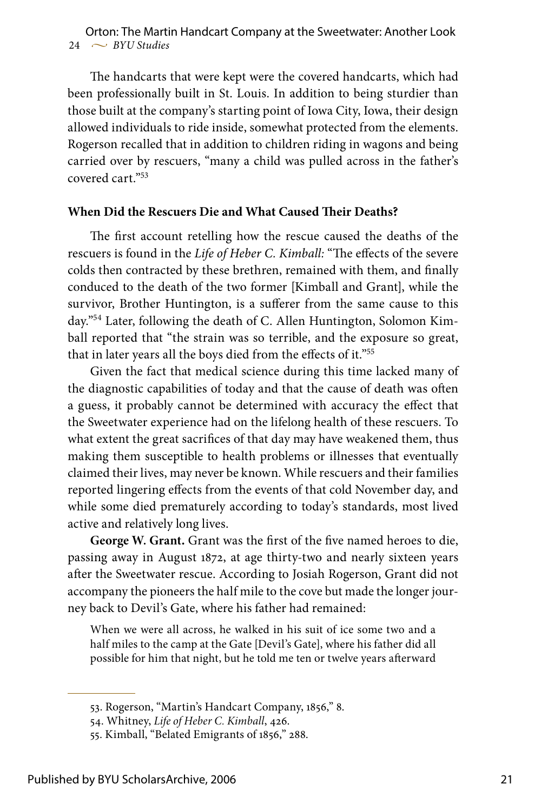$24 \sim$  *BYU Studies* Orton: The Martin Handcart Company at the Sweetwater: Another Look

The handcarts that were kept were the covered handcarts, which had been professionally built in St. Louis. In addition to being sturdier than those built at the company's starting point of Iowa City, Iowa, their design allowed individuals to ride inside, somewhat protected from the elements. Rogerson recalled that in addition to children riding in wagons and being carried over by rescuers, "many a child was pulled across in the father's covered cart."53

#### **When Did the Rescuers Die and What Caused Their Deaths?**

The first account retelling how the rescue caused the deaths of the rescuers is found in the *Life of Heber C. Kimball:* "The effects of the severe colds then contracted by these brethren, remained with them, and finally conduced to the death of the two former [Kimball and Grant], while the survivor, Brother Huntington, is a sufferer from the same cause to this day."54 Later, following the death of C. Allen Huntington, Solomon Kimball reported that "the strain was so terrible, and the exposure so great, that in later years all the boys died from the effects of it."55

Given the fact that medical science during this time lacked many of the diagnostic capabilities of today and that the cause of death was often a guess, it probably cannot be determined with accuracy the effect that the Sweetwater experience had on the lifelong health of these rescuers. To what extent the great sacrifices of that day may have weakened them, thus making them susceptible to health problems or illnesses that eventually claimed their lives, may never be known. While rescuers and their families reported lingering effects from the events of that cold November day, and while some died prematurely according to today's standards, most lived active and relatively long lives.

**George W. Grant.** Grant was the first of the five named heroes to die, passing away in August 1872, at age thirty-two and nearly sixteen years after the Sweetwater rescue. According to Josiah Rogerson, Grant did not accompany the pioneers the half mile to the cove but made the longer journey back to Devil's Gate, where his father had remained:

When we were all across, he walked in his suit of ice some two and a half miles to the camp at the Gate [Devil's Gate], where his father did all possible for him that night, but he told me ten or twelve years afterward

<sup>53.</sup> Rogerson, "Martin's Handcart Company, 1856," 8.

<sup>54.</sup> Whitney, *Life of Heber C. Kimball*, 426.

<sup>55.</sup> Kimball, "Belated Emigrants of 1856," 288.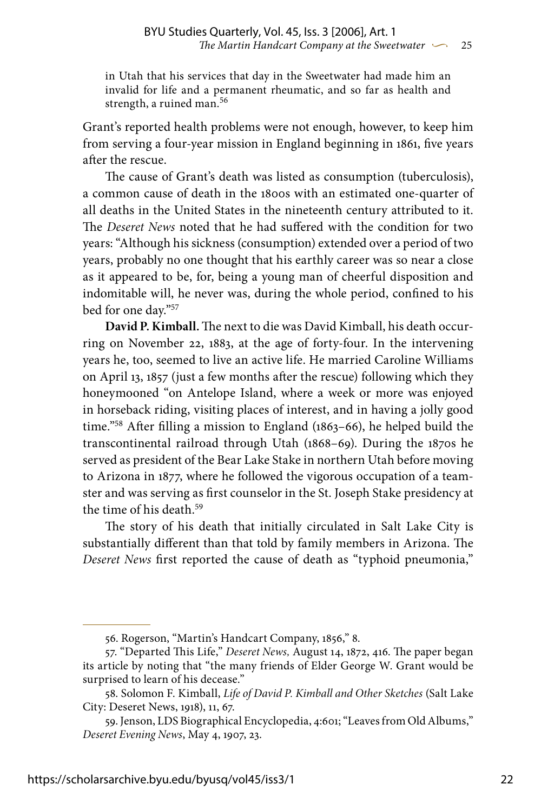in Utah that his services that day in the Sweetwater had made him an invalid for life and a permanent rheumatic, and so far as health and strength, a ruined man.<sup>56</sup>

Grant's reported health problems were not enough, however, to keep him from serving a four-year mission in England beginning in 1861, five years after the rescue.

The cause of Grant's death was listed as consumption (tuberculosis), a common cause of death in the 1800s with an estimated one-quarter of all deaths in the United States in the nineteenth century attributed to it. The *Deseret News* noted that he had suffered with the condition for two years: "Although his sickness (consumption) extended over a period of two years, probably no one thought that his earthly career was so near a close as it appeared to be, for, being a young man of cheerful disposition and indomitable will, he never was, during the whole period, confined to his bed for one day."57

**David P. Kimball.** The next to die was David Kimball, his death occurring on November 22, 1883, at the age of forty-four. In the intervening years he, too, seemed to live an active life. He married Caroline Williams on April 13, 1857 (just a few months after the rescue) following which they honeymooned "on Antelope Island, where a week or more was enjoyed in horseback riding, visiting places of interest, and in having a jolly good time."58 After filling a mission to England (1863–66), he helped build the transcontinental railroad through Utah (1868–69). During the 1870s he served as president of the Bear Lake Stake in northern Utah before moving to Arizona in 1877, where he followed the vigorous occupation of a teamster and was serving as first counselor in the St. Joseph Stake presidency at the time of his death.59

The story of his death that initially circulated in Salt Lake City is substantially different than that told by family members in Arizona. The *Deseret News* first reported the cause of death as "typhoid pneumonia,"

<sup>56.</sup> Rogerson, "Martin's Handcart Company, 1856," 8.

<sup>57. &</sup>quot;Departed This Life," *Deseret News,* August 14, 1872, 416. The paper began its article by noting that "the many friends of Elder George W. Grant would be surprised to learn of his decease."

<sup>58.</sup> Solomon F. Kimball, *Life of David P. Kimball and Other Sketches* (Salt Lake City: Deseret News, 1918), 11, 67.

<sup>59.</sup> Jenson, LDS Biographical Encyclopedia, 4:601; "Leaves from Old Albums," *Deseret Evening News*, May 4, 1907, 23.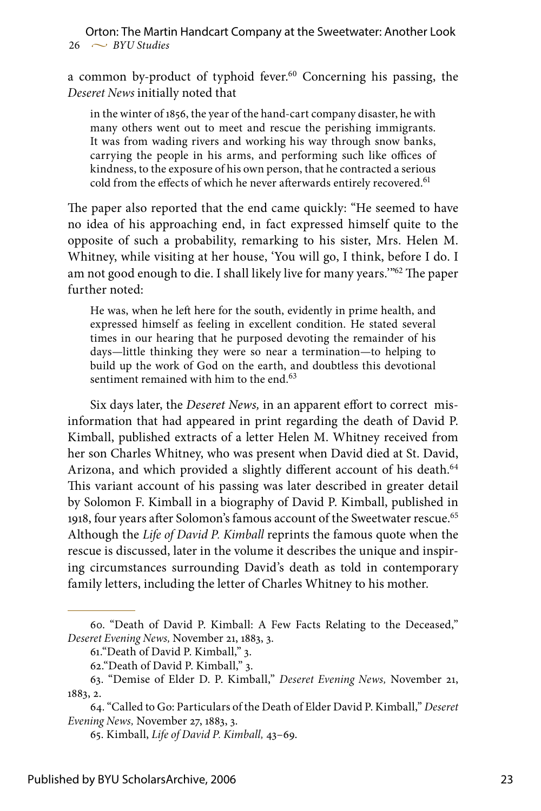a common by-product of typhoid fever.<sup>60</sup> Concerning his passing, the *Deseret News* initially noted that

in the winter of 1856, the year of the hand-cart company disaster, he with many others went out to meet and rescue the perishing immigrants. It was from wading rivers and working his way through snow banks, carrying the people in his arms, and performing such like offices of kindness, to the exposure of his own person, that he contracted a serious cold from the effects of which he never afterwards entirely recovered.<sup>61</sup>

The paper also reported that the end came quickly: "He seemed to have no idea of his approaching end, in fact expressed himself quite to the opposite of such a probability, remarking to his sister, Mrs. Helen M. Whitney, while visiting at her house, 'You will go, I think, before I do. I am not good enough to die. I shall likely live for many years."<sup>62</sup> The paper further noted:

He was, when he left here for the south, evidently in prime health, and expressed himself as feeling in excellent condition. He stated several times in our hearing that he purposed devoting the remainder of his days—little thinking they were so near a termination—to helping to build up the work of God on the earth, and doubtless this devotional sentiment remained with him to the end.<sup>63</sup>

Six days later, the *Deseret News,* in an apparent effort to correct misinformation that had appeared in print regarding the death of David P. Kimball, published extracts of a letter Helen M. Whitney received from her son Charles Whitney, who was present when David died at St. David, Arizona, and which provided a slightly different account of his death.<sup>64</sup> This variant account of his passing was later described in greater detail by Solomon F. Kimball in a biography of David P. Kimball, published in 1918, four years after Solomon's famous account of the Sweetwater rescue.<sup>65</sup> Although the *Life of David P. Kimball* reprints the famous quote when the rescue is discussed, later in the volume it describes the unique and inspiring circumstances surrounding David's death as told in contemporary family letters, including the letter of Charles Whitney to his mother.

<sup>60. &</sup>quot;Death of David P. Kimball: A Few Facts Relating to the Deceased," *Deseret Evening News,* November 21, 1883, 3.

<sup>61.&</sup>quot;Death of David P. Kimball," 3.

<sup>62.&</sup>quot;Death of David P. Kimball," 3.

<sup>63. &</sup>quot;Demise of Elder D. P. Kimball," *Deseret Evening News,* November 21, 1883, 2.

<sup>64. &</sup>quot;Called to Go: Particulars of the Death of Elder David P. Kimball," *Deseret Evening News,* November 27, 1883, 3.

<sup>65.</sup> Kimball, *Life of David P. Kimball,* 43–69.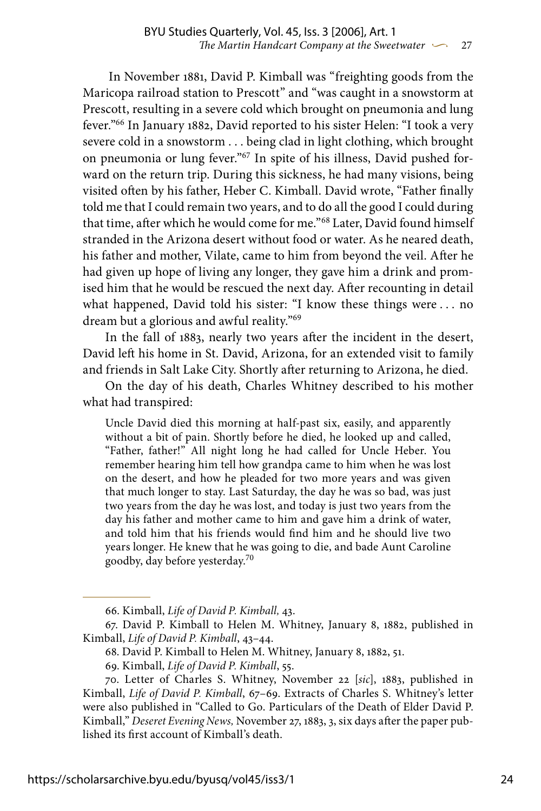In November 1881, David P. Kimball was "freighting goods from the Maricopa railroad station to Prescott" and "was caught in a snowstorm at Prescott, resulting in a severe cold which brought on pneumonia and lung fever."66 In January 1882, David reported to his sister Helen: "I took a very severe cold in a snowstorm . . . being clad in light clothing, which brought on pneumonia or lung fever."67 In spite of his illness, David pushed forward on the return trip. During this sickness, he had many visions, being visited often by his father, Heber C. Kimball. David wrote, "Father finally told me that I could remain two years, and to do all the good I could during that time, after which he would come for me."68 Later, David found himself stranded in the Arizona desert without food or water. As he neared death, his father and mother, Vilate, came to him from beyond the veil. After he had given up hope of living any longer, they gave him a drink and promised him that he would be rescued the next day. After recounting in detail what happened, David told his sister: "I know these things were . . . no dream but a glorious and awful reality."69

In the fall of 1883, nearly two years after the incident in the desert, David left his home in St. David, Arizona, for an extended visit to family and friends in Salt Lake City. Shortly after returning to Arizona, he died.

On the day of his death, Charles Whitney described to his mother what had transpired:

Uncle David died this morning at half-past six, easily, and apparently without a bit of pain. Shortly before he died, he looked up and called, "Father, father!" All night long he had called for Uncle Heber. You remember hearing him tell how grandpa came to him when he was lost on the desert, and how he pleaded for two more years and was given that much longer to stay. Last Saturday, the day he was so bad, was just two years from the day he was lost, and today is just two years from the day his father and mother came to him and gave him a drink of water, and told him that his friends would find him and he should live two years longer. He knew that he was going to die, and bade Aunt Caroline goodby, day before yesterday.70

<sup>66.</sup> Kimball, *Life of David P. Kimball,* 43.

<sup>67.</sup> David P. Kimball to Helen M. Whitney, January 8, 1882, published in Kimball, *Life of David P. Kimball*, 43–44.

<sup>68.</sup> David P. Kimball to Helen M. Whitney, January 8, 1882, 51.

<sup>69.</sup> Kimball, *Life of David P. Kimball*, 55.

<sup>70.</sup> Letter of Charles S. Whitney, November 22 [*sic*], 1883, published in Kimball, *Life of David P. Kimball*, 67–69. Extracts of Charles S. Whitney's letter were also published in "Called to Go. Particulars of the Death of Elder David P. Kimball," *Deseret Evening News,* November 27, 1883, 3, six days after the paper published its first account of Kimball's death.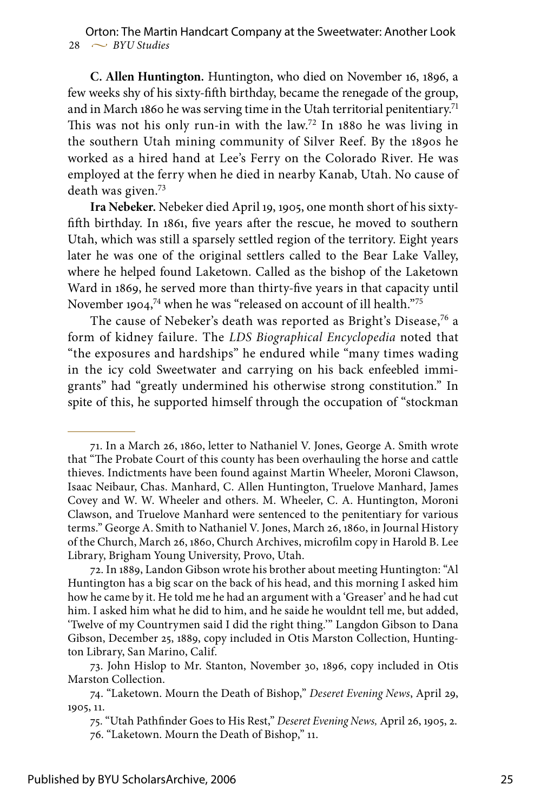**C. Allen Huntington.** Huntington, who died on November 16, 1896, a few weeks shy of his sixty-fifth birthday, became the renegade of the group, and in March 1860 he was serving time in the Utah territorial penitentiary.<sup>71</sup> This was not his only run-in with the law.72 In 1880 he was living in the southern Utah mining community of Silver Reef. By the 1890s he worked as a hired hand at Lee's Ferry on the Colorado River. He was employed at the ferry when he died in nearby Kanab, Utah. No cause of death was given.<sup>73</sup>

**Ira Nebeker.** Nebeker died April 19, 1905, one month short of his sixtyfifth birthday. In 1861, five years after the rescue, he moved to southern Utah, which was still a sparsely settled region of the territory. Eight years later he was one of the original settlers called to the Bear Lake Valley, where he helped found Laketown. Called as the bishop of the Laketown Ward in 1869, he served more than thirty-five years in that capacity until November 1904,<sup>74</sup> when he was "released on account of ill health."<sup>75</sup>

The cause of Nebeker's death was reported as Bright's Disease,<sup>76</sup> a form of kidney failure. The *LDS Biographical Encyclopedia* noted that "the exposures and hardships" he endured while "many times wading in the icy cold Sweetwater and carrying on his back enfeebled immigrants" had "greatly undermined his otherwise strong constitution." In spite of this, he supported himself through the occupation of "stockman

<sup>71.</sup> In a March 26, 1860, letter to Nathaniel V. Jones, George A. Smith wrote that "The Probate Court of this county has been overhauling the horse and cattle thieves. Indictments have been found against Martin Wheeler, Moroni Clawson, Isaac Neibaur, Chas. Manhard, C. Allen Huntington, Truelove Manhard, James Covey and W. W. Wheeler and others. M. Wheeler, C. A. Huntington, Moroni Clawson, and Truelove Manhard were sentenced to the penitentiary for various terms." George A. Smith to Nathaniel V. Jones, March 26, 1860, in Journal History of the Church, March 26, 1860, Church Archives, microfilm copy in Harold B. Lee Library, Brigham Young University, Provo, Utah.

<sup>72.</sup> In 1889, Landon Gibson wrote his brother about meeting Huntington: "Al Huntington has a big scar on the back of his head, and this morning I asked him how he came by it. He told me he had an argument with a 'Greaser' and he had cut him. I asked him what he did to him, and he saide he wouldnt tell me, but added, 'Twelve of my Countrymen said I did the right thing.'" Langdon Gibson to Dana Gibson, December 25, 1889, copy included in Otis Marston Collection, Huntington Library, San Marino, Calif.

<sup>73.</sup> John Hislop to Mr. Stanton, November 30, 1896, copy included in Otis Marston Collection.

<sup>74. &</sup>quot;Laketown. Mourn the Death of Bishop," *Deseret Evening News*, April 29, 1905, 11.

<sup>75. &</sup>quot;Utah Pathfinder Goes to His Rest," *Deseret Evening News,* April 26, 1905, 2. 76. "Laketown. Mourn the Death of Bishop," 11.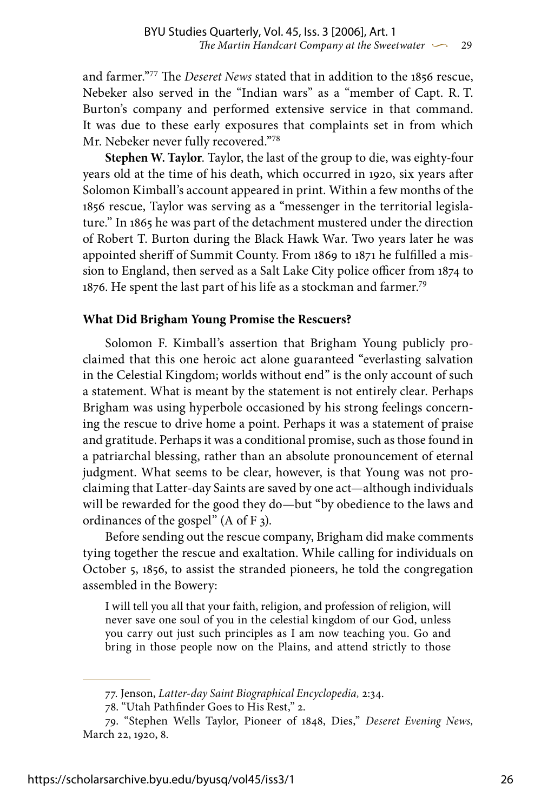and farmer."77 The *Deseret News* stated that in addition to the 1856 rescue, Nebeker also served in the "Indian wars" as a "member of Capt. R. T. Burton's company and performed extensive service in that command. It was due to these early exposures that complaints set in from which Mr. Nebeker never fully recovered."78

**Stephen W. Taylor**. Taylor, the last of the group to die, was eighty-four years old at the time of his death, which occurred in 1920, six years after Solomon Kimball's account appeared in print. Within a few months of the 1856 rescue, Taylor was serving as a "messenger in the territorial legislature." In 1865 he was part of the detachment mustered under the direction of Robert T. Burton during the Black Hawk War. Two years later he was appointed sheriff of Summit County. From 1869 to 1871 he fulfilled a mission to England, then served as a Salt Lake City police officer from 1874 to 1876. He spent the last part of his life as a stockman and farmer.<sup>79</sup>

### **What Did Brigham Young Promise the Rescuers?**

Solomon F. Kimball's assertion that Brigham Young publicly proclaimed that this one heroic act alone guaranteed "everlasting salvation in the Celestial Kingdom; worlds without end" is the only account of such a statement. What is meant by the statement is not entirely clear. Perhaps Brigham was using hyperbole occasioned by his strong feelings concerning the rescue to drive home a point. Perhaps it was a statement of praise and gratitude. Perhaps it was a conditional promise, such as those found in a patriarchal blessing, rather than an absolute pronouncement of eternal judgment. What seems to be clear, however, is that Young was not proclaiming that Latter-day Saints are saved by one act—although individuals will be rewarded for the good they do—but "by obedience to the laws and ordinances of the gospel" (A of F 3).

Before sending out the rescue company, Brigham did make comments tying together the rescue and exaltation. While calling for individuals on October 5, 1856, to assist the stranded pioneers, he told the congregation assembled in the Bowery:

I will tell you all that your faith, religion, and profession of religion, will never save one soul of you in the celestial kingdom of our God, unless you carry out just such principles as I am now teaching you. Go and bring in those people now on the Plains, and attend strictly to those

<sup>77.</sup> Jenson, *Latter-day Saint Biographical Encyclopedia,* 2:34.

<sup>78. &</sup>quot;Utah Pathfinder Goes to His Rest," 2.

<sup>79. &</sup>quot;Stephen Wells Taylor, Pioneer of 1848, Dies," *Deseret Evening News,* March 22, 1920, 8.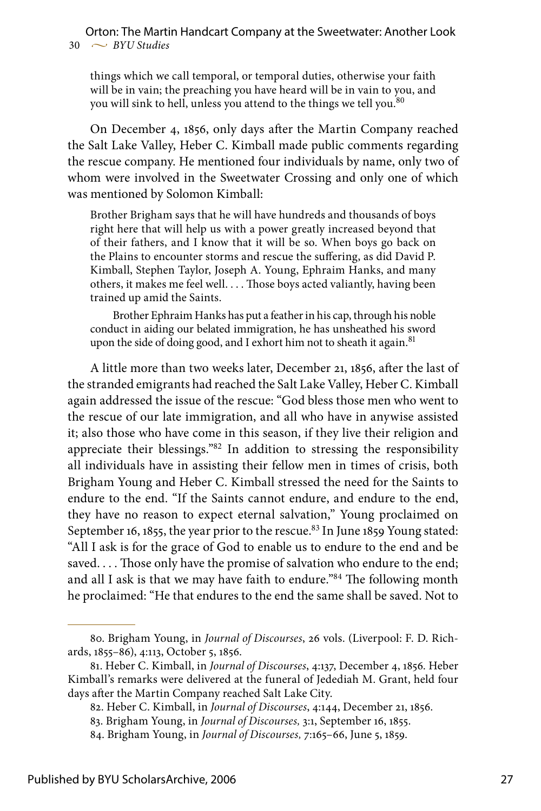things which we call temporal, or temporal duties, otherwise your faith will be in vain; the preaching you have heard will be in vain to you, and you will sink to hell, unless you attend to the things we tell you.<sup>80</sup>

On December 4, 1856, only days after the Martin Company reached the Salt Lake Valley, Heber C. Kimball made public comments regarding the rescue company. He mentioned four individuals by name, only two of whom were involved in the Sweetwater Crossing and only one of which was mentioned by Solomon Kimball:

Brother Brigham says that he will have hundreds and thousands of boys right here that will help us with a power greatly increased beyond that of their fathers, and I know that it will be so. When boys go back on the Plains to encounter storms and rescue the suffering, as did David P. Kimball, Stephen Taylor, Joseph A. Young, Ephraim Hanks, and many others, it makes me feel well. . . . Those boys acted valiantly, having been trained up amid the Saints.

Brother Ephraim Hanks has put a feather in his cap, through his noble conduct in aiding our belated immigration, he has unsheathed his sword upon the side of doing good, and I exhort him not to sheath it again.<sup>81</sup>

A little more than two weeks later, December 21, 1856, after the last of the stranded emigrants had reached the Salt Lake Valley, Heber C. Kimball again addressed the issue of the rescue: "God bless those men who went to the rescue of our late immigration, and all who have in anywise assisted it; also those who have come in this season, if they live their religion and appreciate their blessings."82 In addition to stressing the responsibility all individuals have in assisting their fellow men in times of crisis, both Brigham Young and Heber C. Kimball stressed the need for the Saints to endure to the end. "If the Saints cannot endure, and endure to the end, they have no reason to expect eternal salvation," Young proclaimed on September 16, 1855, the year prior to the rescue.<sup>83</sup> In June 1859 Young stated: "All I ask is for the grace of God to enable us to endure to the end and be saved.... Those only have the promise of salvation who endure to the end; and all I ask is that we may have faith to endure."84 The following month he proclaimed: "He that endures to the end the same shall be saved. Not to

<sup>80.</sup> Brigham Young, in *Journal of Discourses*, 26 vols. (Liverpool: F. D. Richards, 1855–86), 4:113, October 5, 1856.

<sup>81.</sup> Heber C. Kimball, in *Journal of Discourses*, 4:137, December 4, 1856. Heber Kimball's remarks were delivered at the funeral of Jedediah M. Grant, held four days after the Martin Company reached Salt Lake City.

<sup>82.</sup> Heber C. Kimball, in *Journal of Discourses*, 4:144, December 21, 1856.

<sup>83.</sup> Brigham Young, in *Journal of Discourses,* 3:1, September 16, 1855.

<sup>84.</sup> Brigham Young, in *Journal of Discourses,* 7:165–66, June 5, 1859.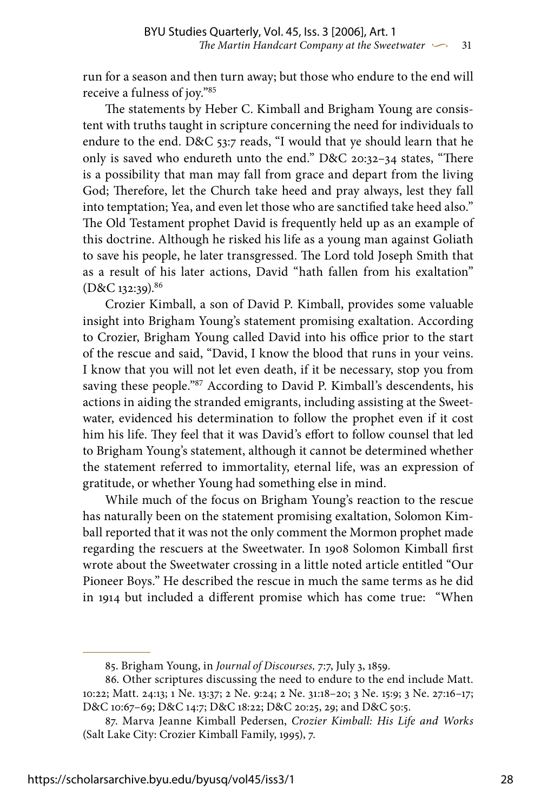run for a season and then turn away; but those who endure to the end will receive a fulness of joy."85

The statements by Heber C. Kimball and Brigham Young are consistent with truths taught in scripture concerning the need for individuals to endure to the end. D&C 53:7 reads, "I would that ye should learn that he only is saved who endureth unto the end." D&C 20:32–34 states, "There is a possibility that man may fall from grace and depart from the living God; Therefore, let the Church take heed and pray always, lest they fall into temptation; Yea, and even let those who are sanctified take heed also." The Old Testament prophet David is frequently held up as an example of this doctrine. Although he risked his life as a young man against Goliath to save his people, he later transgressed. The Lord told Joseph Smith that as a result of his later actions, David "hath fallen from his exaltation" (D&C 132:39).86

Crozier Kimball, a son of David P. Kimball, provides some valuable insight into Brigham Young's statement promising exaltation. According to Crozier, Brigham Young called David into his office prior to the start of the rescue and said, "David, I know the blood that runs in your veins. I know that you will not let even death, if it be necessary, stop you from saving these people."87 According to David P. Kimball's descendents, his actions in aiding the stranded emigrants, including assisting at the Sweetwater, evidenced his determination to follow the prophet even if it cost him his life. They feel that it was David's effort to follow counsel that led to Brigham Young's statement, although it cannot be determined whether the statement referred to immortality, eternal life, was an expression of gratitude, or whether Young had something else in mind.

While much of the focus on Brigham Young's reaction to the rescue has naturally been on the statement promising exaltation, Solomon Kimball reported that it was not the only comment the Mormon prophet made regarding the rescuers at the Sweetwater. In 1908 Solomon Kimball first wrote about the Sweetwater crossing in a little noted article entitled "Our Pioneer Boys." He described the rescue in much the same terms as he did in 1914 but included a different promise which has come true: "When

<sup>85.</sup> Brigham Young, in *Journal of Discourses,* 7:7, July 3, 1859.

<sup>86.</sup> Other scriptures discussing the need to endure to the end include Matt. 10:22; Matt. 24:13; 1 Ne. 13:37; 2 Ne. 9:24; 2 Ne. 31:18–20; 3 Ne. 15:9; 3 Ne. 27:16–17; D&C 10:67–69; D&C 14:7; D&C 18:22; D&C 20:25, 29; and D&C 50:5.

<sup>87.</sup> Marva Jeanne Kimball Pedersen, *Crozier Kimball: His Life and Works*  (Salt Lake City: Crozier Kimball Family, 1995), 7.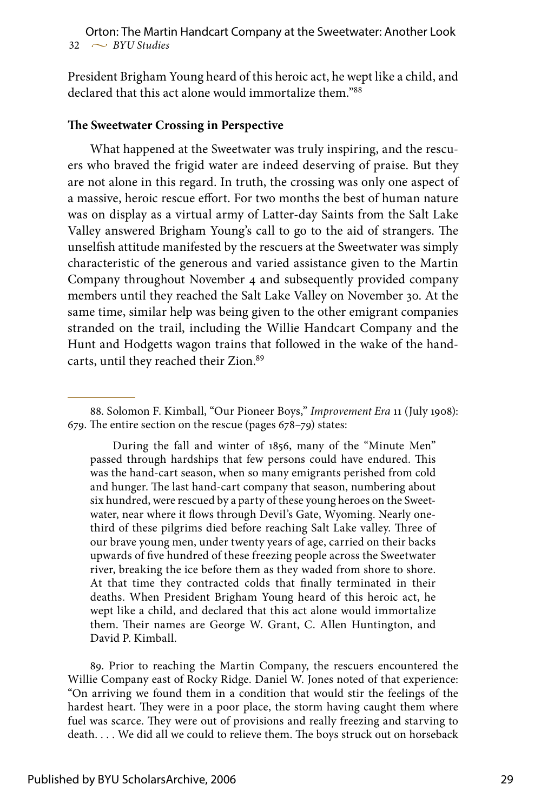President Brigham Young heard of this heroic act, he wept like a child, and declared that this act alone would immortalize them."88

### **The Sweetwater Crossing in Perspective**

What happened at the Sweetwater was truly inspiring, and the rescuers who braved the frigid water are indeed deserving of praise. But they are not alone in this regard. In truth, the crossing was only one aspect of a massive, heroic rescue effort. For two months the best of human nature was on display as a virtual army of Latter-day Saints from the Salt Lake Valley answered Brigham Young's call to go to the aid of strangers. The unselfish attitude manifested by the rescuers at the Sweetwater was simply characteristic of the generous and varied assistance given to the Martin Company throughout November 4 and subsequently provided company members until they reached the Salt Lake Valley on November 30. At the same time, similar help was being given to the other emigrant companies stranded on the trail, including the Willie Handcart Company and the Hunt and Hodgetts wagon trains that followed in the wake of the handcarts, until they reached their Zion.<sup>89</sup>

During the fall and winter of 1856, many of the "Minute Men" passed through hardships that few persons could have endured. This was the hand-cart season, when so many emigrants perished from cold and hunger. The last hand-cart company that season, numbering about six hundred, were rescued by a party of these young heroes on the Sweetwater, near where it flows through Devil's Gate, Wyoming. Nearly onethird of these pilgrims died before reaching Salt Lake valley. Three of our brave young men, under twenty years of age, carried on their backs upwards of five hundred of these freezing people across the Sweetwater river, breaking the ice before them as they waded from shore to shore. At that time they contracted colds that finally terminated in their deaths. When President Brigham Young heard of this heroic act, he wept like a child, and declared that this act alone would immortalize them. Their names are George W. Grant, C. Allen Huntington, and David P. Kimball.

89. Prior to reaching the Martin Company, the rescuers encountered the Willie Company east of Rocky Ridge. Daniel W. Jones noted of that experience: "On arriving we found them in a condition that would stir the feelings of the hardest heart. They were in a poor place, the storm having caught them where fuel was scarce. They were out of provisions and really freezing and starving to death. . . . We did all we could to relieve them. The boys struck out on horseback

<sup>88.</sup> Solomon F. Kimball, "Our Pioneer Boys," *Improvement Era* 11 (July 1908): 679. The entire section on the rescue (pages 678–79) states: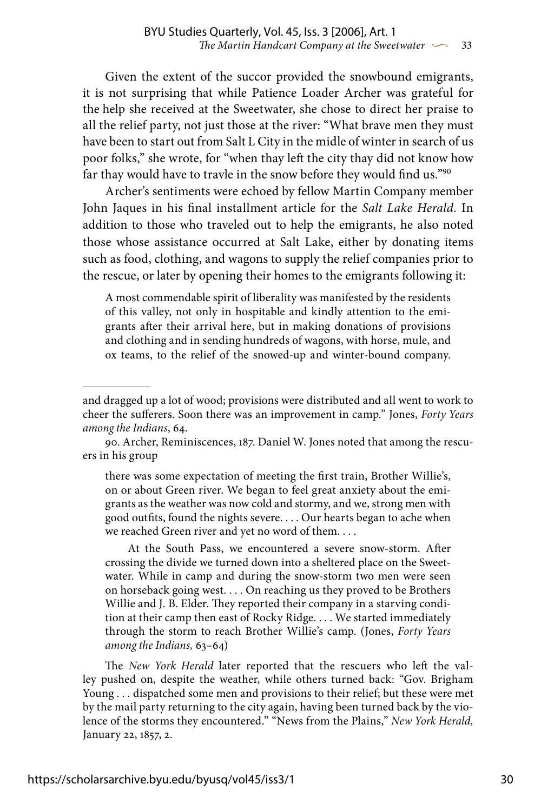Given the extent of the succor provided the snowbound emigrants, it is not surprising that while Patience Loader Archer was grateful for the help she received at the Sweetwater, she chose to direct her praise to all the relief party, not just those at the river: "What brave men they must have been to start out from Salt L City in the midle of winter in search of us poor folks," she wrote, for "when thay left the city thay did not know how far thay would have to travle in the snow before they would find us."90

Archer's sentiments were echoed by fellow Martin Company member John Jaques in his final installment article for the *Salt Lake Herald.* In addition to those who traveled out to help the emigrants, he also noted those whose assistance occurred at Salt Lake, either by donating items such as food, clothing, and wagons to supply the relief companies prior to the rescue, or later by opening their homes to the emigrants following it:

A most commendable spirit of liberality was manifested by the residents of this valley, not only in hospitable and kindly attention to the emigrants after their arrival here, but in making donations of provisions and clothing and in sending hundreds of wagons, with horse, mule, and ox teams, to the relief of the snowed-up and winter-bound company.

90. Archer, Reminiscences, 187. Daniel W. Jones noted that among the rescuers in his group

there was some expectation of meeting the first train, Brother Willie's, on or about Green river. We began to feel great anxiety about the emigrants as the weather was now cold and stormy, and we, strong men with good outfits, found the nights severe. . . . Our hearts began to ache when we reached Green river and yet no word of them. . . .

At the South Pass, we encountered a severe snow-storm. After crossing the divide we turned down into a sheltered place on the Sweetwater. While in camp and during the snow-storm two men were seen on horseback going west. . . . On reaching us they proved to be Brothers Willie and J. B. Elder. They reported their company in a starving condition at their camp then east of Rocky Ridge. . . . We started immediately through the storm to reach Brother Willie's camp. (Jones, *Forty Years among the Indians,* 63–64)

The *New York Herald* later reported that the rescuers who left the valley pushed on, despite the weather, while others turned back: "Gov. Brigham Young . . . dispatched some men and provisions to their relief; but these were met by the mail party returning to the city again, having been turned back by the violence of the storms they encountered." "News from the Plains," *New York Herald,* January 22, 1857, 2.

and dragged up a lot of wood; provisions were distributed and all went to work to cheer the sufferers. Soon there was an improvement in camp." Jones, *Forty Years among the Indians*, 64.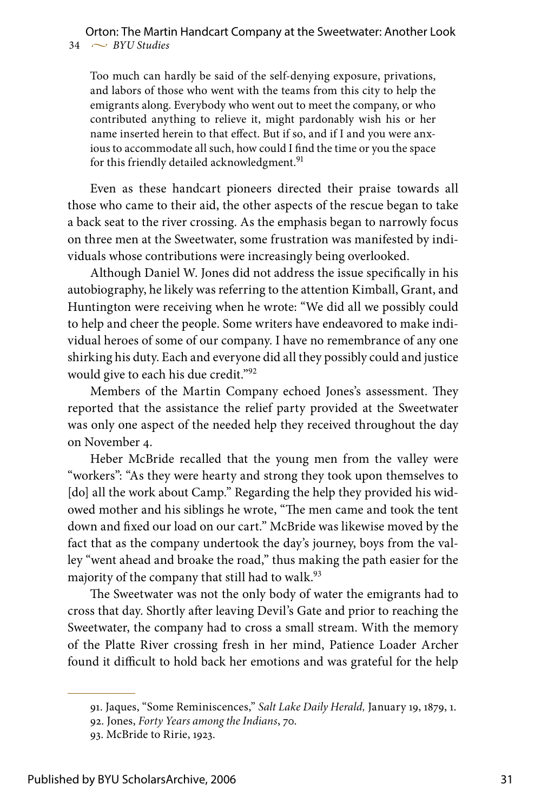Too much can hardly be said of the self-denying exposure, privations, and labors of those who went with the teams from this city to help the emigrants along. Everybody who went out to meet the company, or who contributed anything to relieve it, might pardonably wish his or her name inserted herein to that effect. But if so, and if I and you were anxious to accommodate all such, how could I find the time or you the space for this friendly detailed acknowledgment.<sup>91</sup>

Even as these handcart pioneers directed their praise towards all those who came to their aid, the other aspects of the rescue began to take a back seat to the river crossing. As the emphasis began to narrowly focus on three men at the Sweetwater, some frustration was manifested by individuals whose contributions were increasingly being overlooked.

Although Daniel W. Jones did not address the issue specifically in his autobiography, he likely was referring to the attention Kimball, Grant, and Huntington were receiving when he wrote: "We did all we possibly could to help and cheer the people. Some writers have endeavored to make individual heroes of some of our company. I have no remembrance of any one shirking his duty. Each and everyone did all they possibly could and justice would give to each his due credit."92

Members of the Martin Company echoed Jones's assessment. They reported that the assistance the relief party provided at the Sweetwater was only one aspect of the needed help they received throughout the day on November 4.

Heber McBride recalled that the young men from the valley were "workers": "As they were hearty and strong they took upon themselves to [do] all the work about Camp." Regarding the help they provided his widowed mother and his siblings he wrote, "The men came and took the tent down and fixed our load on our cart." McBride was likewise moved by the fact that as the company undertook the day's journey, boys from the valley "went ahead and broake the road," thus making the path easier for the majority of the company that still had to walk.<sup>93</sup>

The Sweetwater was not the only body of water the emigrants had to cross that day. Shortly after leaving Devil's Gate and prior to reaching the Sweetwater, the company had to cross a small stream. With the memory of the Platte River crossing fresh in her mind, Patience Loader Archer found it difficult to hold back her emotions and was grateful for the help

<sup>91.</sup> Jaques, "Some Reminiscences," *Salt Lake Daily Herald,* January 19, 1879, 1.

<sup>92.</sup> Jones, *Forty Years among the Indians*, 70.

<sup>93.</sup> McBride to Ririe, 1923.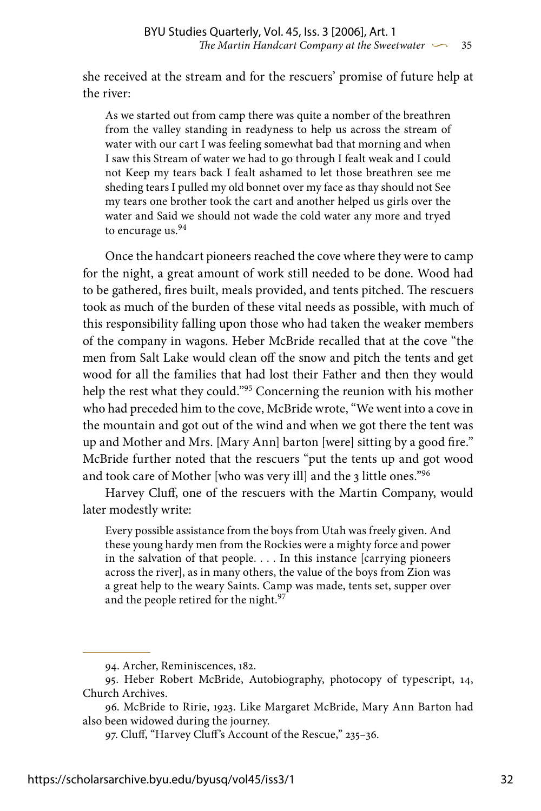she received at the stream and for the rescuers' promise of future help at the river:

As we started out from camp there was quite a nomber of the breathren from the valley standing in readyness to help us across the stream of water with our cart I was feeling somewhat bad that morning and when I saw this Stream of water we had to go through I fealt weak and I could not Keep my tears back I fealt ashamed to let those breathren see me sheding tears I pulled my old bonnet over my face as thay should not See my tears one brother took the cart and another helped us girls over the water and Said we should not wade the cold water any more and tryed to encurage us.<sup>94</sup>

Once the handcart pioneers reached the cove where they were to camp for the night, a great amount of work still needed to be done. Wood had to be gathered, fires built, meals provided, and tents pitched. The rescuers took as much of the burden of these vital needs as possible, with much of this responsibility falling upon those who had taken the weaker members of the company in wagons. Heber McBride recalled that at the cove "the men from Salt Lake would clean off the snow and pitch the tents and get wood for all the families that had lost their Father and then they would help the rest what they could."95 Concerning the reunion with his mother who had preceded him to the cove, McBride wrote, "We went into a cove in the mountain and got out of the wind and when we got there the tent was up and Mother and Mrs. [Mary Ann] barton [were] sitting by a good fire." McBride further noted that the rescuers "put the tents up and got wood and took care of Mother [who was very ill] and the 3 little ones."96

Harvey Cluff, one of the rescuers with the Martin Company, would later modestly write:

Every possible assistance from the boys from Utah was freely given. And these young hardy men from the Rockies were a mighty force and power in the salvation of that people. . . . In this instance [carrying pioneers across the river], as in many others, the value of the boys from Zion was a great help to the weary Saints. Camp was made, tents set, supper over and the people retired for the night.<sup>97</sup>

<sup>94.</sup> Archer, Reminiscences, 182.

<sup>95.</sup> Heber Robert McBride, Autobiography, photocopy of typescript, 14, Church Archives.

<sup>96.</sup> McBride to Ririe, 1923. Like Margaret McBride, Mary Ann Barton had also been widowed during the journey.

<sup>97.</sup> Cluff, "Harvey Cluff's Account of the Rescue," 235–36.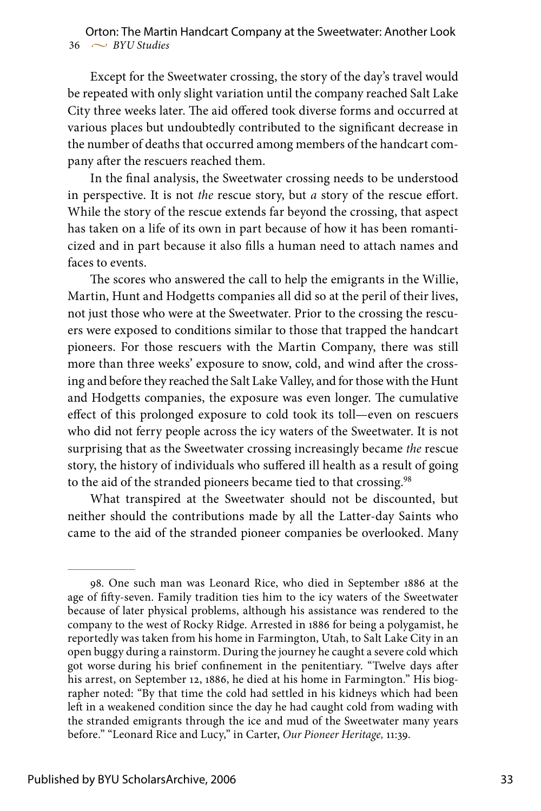Except for the Sweetwater crossing, the story of the day's travel would be repeated with only slight variation until the company reached Salt Lake City three weeks later. The aid offered took diverse forms and occurred at various places but undoubtedly contributed to the significant decrease in the number of deaths that occurred among members of the handcart company after the rescuers reached them.

In the final analysis, the Sweetwater crossing needs to be understood in perspective. It is not *the* rescue story, but *a* story of the rescue effort. While the story of the rescue extends far beyond the crossing, that aspect has taken on a life of its own in part because of how it has been romanticized and in part because it also fills a human need to attach names and faces to events.

The scores who answered the call to help the emigrants in the Willie, Martin, Hunt and Hodgetts companies all did so at the peril of their lives, not just those who were at the Sweetwater. Prior to the crossing the rescuers were exposed to conditions similar to those that trapped the handcart pioneers. For those rescuers with the Martin Company, there was still more than three weeks' exposure to snow, cold, and wind after the crossing and before they reached the Salt Lake Valley, and for those with the Hunt and Hodgetts companies, the exposure was even longer. The cumulative effect of this prolonged exposure to cold took its toll—even on rescuers who did not ferry people across the icy waters of the Sweetwater. It is not surprising that as the Sweetwater crossing increasingly became *the* rescue story, the history of individuals who suffered ill health as a result of going to the aid of the stranded pioneers became tied to that crossing.<sup>98</sup>

What transpired at the Sweetwater should not be discounted, but neither should the contributions made by all the Latter-day Saints who came to the aid of the stranded pioneer companies be overlooked. Many

<sup>98.</sup> One such man was Leonard Rice, who died in September 1886 at the age of fifty-seven. Family tradition ties him to the icy waters of the Sweetwater because of later physical problems, although his assistance was rendered to the company to the west of Rocky Ridge. Arrested in 1886 for being a polygamist, he reportedly was taken from his home in Farmington, Utah, to Salt Lake City in an open buggy during a rainstorm. During the journey he caught a severe cold which got worse during his brief confinement in the penitentiary. "Twelve days after his arrest, on September 12, 1886, he died at his home in Farmington." His biographer noted: "By that time the cold had settled in his kidneys which had been left in a weakened condition since the day he had caught cold from wading with the stranded emigrants through the ice and mud of the Sweetwater many years before." "Leonard Rice and Lucy," in Carter, *Our Pioneer Heritage,* 11:39.